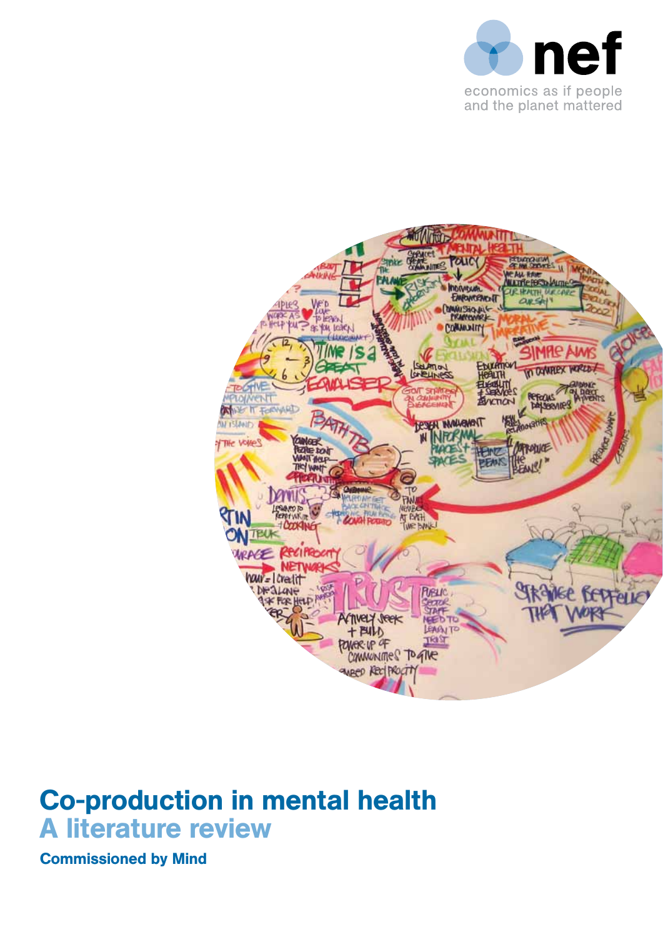



## Co-production in mental health A literature review

Commissioned by Mind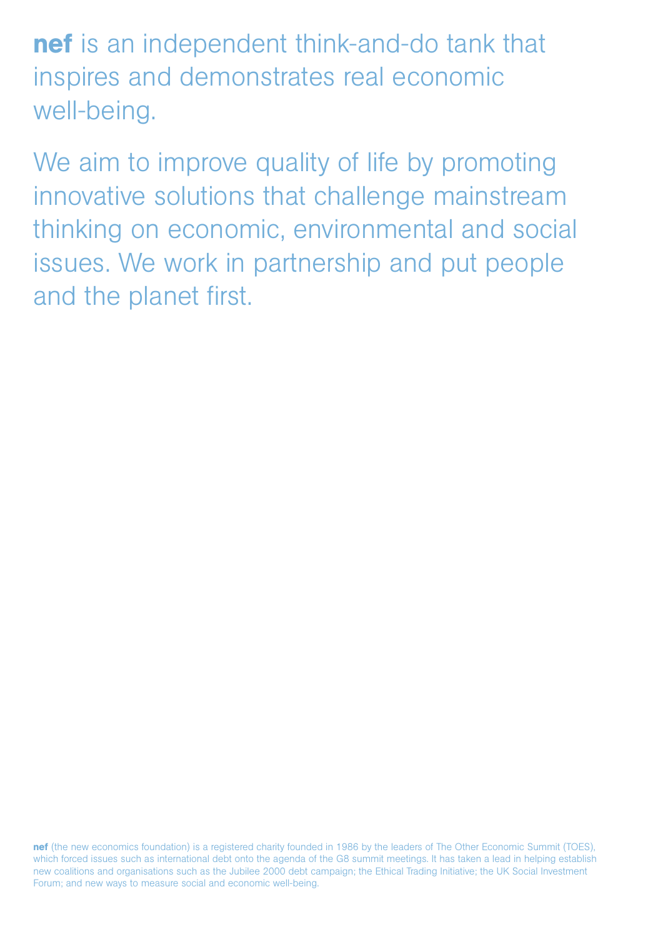nef is an independent think-and-do tank that inspires and demonstrates real economic well-being.

We aim to improve quality of life by promoting innovative solutions that challenge mainstream thinking on economic, environmental and social issues. We work in partnership and put people and the planet first.

nef (the new economics foundation) is a registered charity founded in 1986 by the leaders of The Other Economic Summit (TOES), which forced issues such as international debt onto the agenda of the G8 summit meetings. It has taken a lead in helping establish new coalitions and organisations such as the Jubilee 2000 debt campaign; the Ethical Trading Initiative; the UK Social Investment Forum; and new ways to measure social and economic well-being.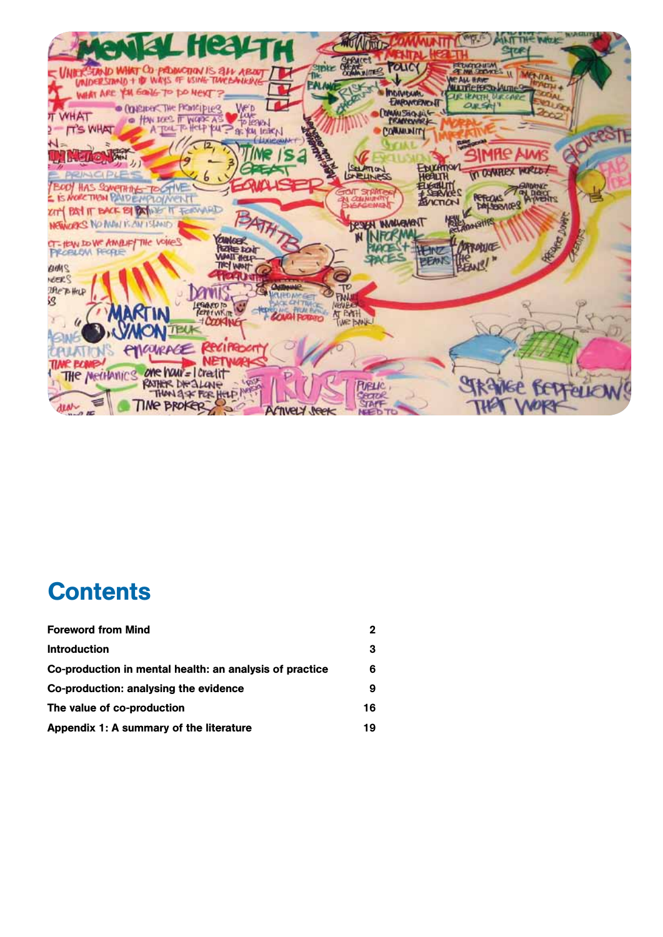

# **Contents**

| <b>Foreword from Mind</b>                               |    |
|---------------------------------------------------------|----|
| <b>Introduction</b>                                     | 3  |
| Co-production in mental health: an analysis of practice | 6  |
| Co-production: analysing the evidence                   |    |
| The value of co-production                              | 16 |
| Appendix 1: A summary of the literature                 | 19 |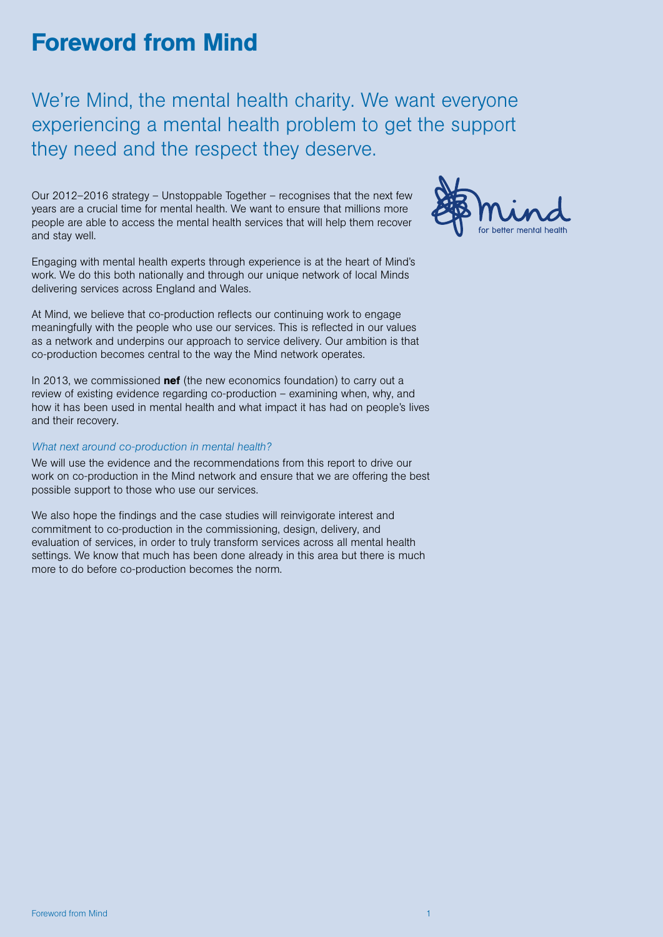## Foreword from Mind

We're Mind, the mental health charity. We want everyone experiencing a mental health problem to get the support they need and the respect they deserve.

Our 2012–2016 strategy – Unstoppable Together – recognises that the next few years are a crucial time for mental health. We want to ensure that millions more people are able to access the mental health services that will help them recover and stay well.



Engaging with mental health experts through experience is at the heart of Mind's work. We do this both nationally and through our unique network of local Minds delivering services across England and Wales.

At Mind, we believe that co-production reflects our continuing work to engage meaningfully with the people who use our services. This is reflected in our values as a network and underpins our approach to service delivery. Our ambition is that co-production becomes central to the way the Mind network operates.

In 2013, we commissioned **nef** (the new economics foundation) to carry out a review of existing evidence regarding co-production – examining when, why, and how it has been used in mental health and what impact it has had on people's lives and their recovery.

#### *What next around co-production in mental health?*

We will use the evidence and the recommendations from this report to drive our work on co-production in the Mind network and ensure that we are offering the best possible support to those who use our services.

We also hope the findings and the case studies will reinvigorate interest and commitment to co-production in the commissioning, design, delivery, and evaluation of services, in order to truly transform services across all mental health settings. We know that much has been done already in this area but there is much more to do before co-production becomes the norm.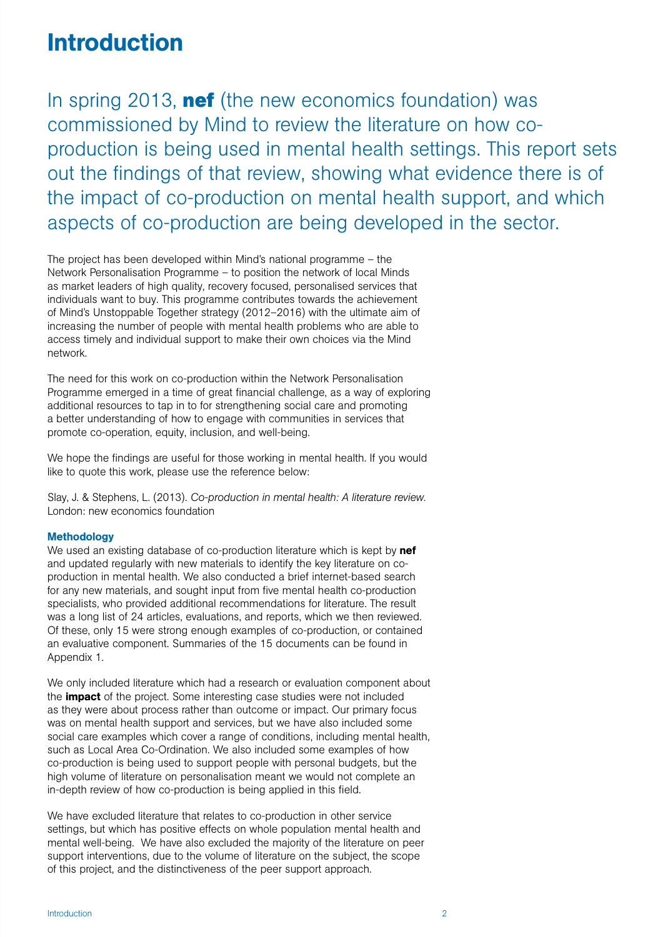### **Introduction**

In spring 2013, **nef** (the new economics foundation) was commissioned by Mind to review the literature on how coproduction is being used in mental health settings. This report sets out the findings of that review, showing what evidence there is of the impact of co-production on mental health support, and which aspects of co-production are being developed in the sector.

The project has been developed within Mind's national programme – the Network Personalisation Programme – to position the network of local Minds as market leaders of high quality, recovery focused, personalised services that individuals want to buy. This programme contributes towards the achievement of Mind's Unstoppable Together strategy (2012–2016) with the ultimate aim of increasing the number of people with mental health problems who are able to access timely and individual support to make their own choices via the Mind network.

The need for this work on co-production within the Network Personalisation Programme emerged in a time of great financial challenge, as a way of exploring additional resources to tap in to for strengthening social care and promoting a better understanding of how to engage with communities in services that promote co-operation, equity, inclusion, and well-being.

We hope the findings are useful for those working in mental health. If you would like to quote this work, please use the reference below:

Slay, J. & Stephens, L. (2013). *Co-production in mental health: A literature review.* London: new economics foundation

#### **Methodology**

We used an existing database of co-production literature which is kept by nef and updated regularly with new materials to identify the key literature on coproduction in mental health. We also conducted a brief internet-based search for any new materials, and sought input from five mental health co-production specialists, who provided additional recommendations for literature. The result was a long list of 24 articles, evaluations, and reports, which we then reviewed. Of these, only 15 were strong enough examples of co-production, or contained an evaluative component. Summaries of the 15 documents can be found in Appendix 1.

We only included literature which had a research or evaluation component about the **impact** of the project. Some interesting case studies were not included as they were about process rather than outcome or impact. Our primary focus was on mental health support and services, but we have also included some social care examples which cover a range of conditions, including mental health, such as Local Area Co-Ordination. We also included some examples of how co-production is being used to support people with personal budgets, but the high volume of literature on personalisation meant we would not complete an in-depth review of how co-production is being applied in this field.

We have excluded literature that relates to co-production in other service settings, but which has positive effects on whole population mental health and mental well-being. We have also excluded the majority of the literature on peer support interventions, due to the volume of literature on the subject, the scope of this project, and the distinctiveness of the peer support approach.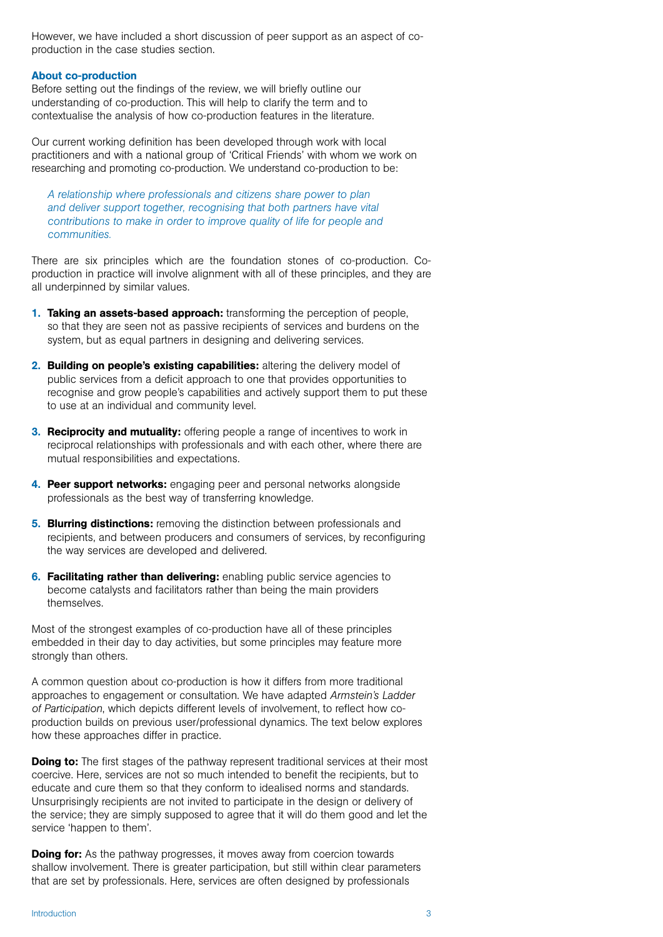However, we have included a short discussion of peer support as an aspect of coproduction in the case studies section.

#### About co-production

Before setting out the findings of the review, we will briefly outline our understanding of co-production. This will help to clarify the term and to contextualise the analysis of how co-production features in the literature.

Our current working definition has been developed through work with local practitioners and with a national group of 'Critical Friends' with whom we work on researching and promoting co-production. We understand co-production to be:

*A relationship where professionals and citizens share power to plan and deliver support together, recognising that both partners have vital contributions to make in order to improve quality of life for people and communities.* 

There are six principles which are the foundation stones of co-production. Coproduction in practice will involve alignment with all of these principles, and they are all underpinned by similar values.

- 1. Taking an assets-based approach: transforming the perception of people, so that they are seen not as passive recipients of services and burdens on the system, but as equal partners in designing and delivering services.
- 2. Building on people's existing capabilities: altering the delivery model of public services from a deficit approach to one that provides opportunities to recognise and grow people's capabilities and actively support them to put these to use at an individual and community level.
- **3. Reciprocity and mutuality:** offering people a range of incentives to work in reciprocal relationships with professionals and with each other, where there are mutual responsibilities and expectations.
- 4. Peer support networks: engaging peer and personal networks alongside professionals as the best way of transferring knowledge.
- **5. Blurring distinctions:** removing the distinction between professionals and recipients, and between producers and consumers of services, by reconfiguring the way services are developed and delivered.
- **6. Facilitating rather than delivering:** enabling public service agencies to become catalysts and facilitators rather than being the main providers themselves.

Most of the strongest examples of co-production have all of these principles embedded in their day to day activities, but some principles may feature more strongly than others.

A common question about co-production is how it differs from more traditional approaches to engagement or consultation. We have adapted *Armstein's Ladder of Participation*, which depicts different levels of involvement, to reflect how coproduction builds on previous user/professional dynamics. The text below explores how these approaches differ in practice.

**Doing to:** The first stages of the pathway represent traditional services at their most coercive. Here, services are not so much intended to benefit the recipients, but to educate and cure them so that they conform to idealised norms and standards. Unsurprisingly recipients are not invited to participate in the design or delivery of the service; they are simply supposed to agree that it will do them good and let the service 'happen to them'.

**Doing for:** As the pathway progresses, it moves away from coercion towards shallow involvement. There is greater participation, but still within clear parameters that are set by professionals. Here, services are often designed by professionals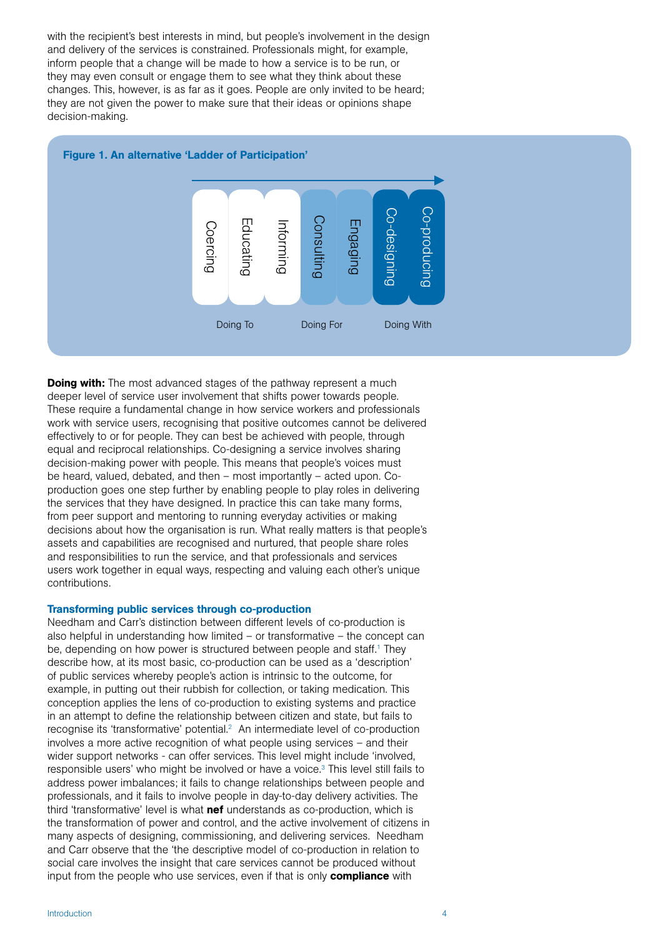with the recipient's best interests in mind, but people's involvement in the design and delivery of the services is constrained. Professionals might, for example, inform people that a change will be made to how a service is to be run, or they may even consult or engage them to see what they think about these changes. This, however, is as far as it goes. People are only invited to be heard; they are not given the power to make sure that their ideas or opinions shape decision-making.



**Doing with:** The most advanced stages of the pathway represent a much deeper level of service user involvement that shifts power towards people. These require a fundamental change in how service workers and professionals work with service users, recognising that positive outcomes cannot be delivered effectively to or for people. They can best be achieved with people, through equal and reciprocal relationships. Co-designing a service involves sharing decision-making power with people. This means that people's voices must be heard, valued, debated, and then – most importantly – acted upon. Coproduction goes one step further by enabling people to play roles in delivering the services that they have designed. In practice this can take many forms, from peer support and mentoring to running everyday activities or making decisions about how the organisation is run. What really matters is that people's assets and capabilities are recognised and nurtured, that people share roles and responsibilities to run the service, and that professionals and services users work together in equal ways, respecting and valuing each other's unique contributions.

#### Transforming public services through co-production

Needham and Carr's distinction between different levels of co-production is also helpful in understanding how limited – or transformative – the concept can be, depending on how power is structured between people and staff.<sup>1</sup> They describe how, at its most basic, co-production can be used as a 'description' of public services whereby people's action is intrinsic to the outcome, for example, in putting out their rubbish for collection, or taking medication. This conception applies the lens of co-production to existing systems and practice in an attempt to define the relationship between citizen and state, but fails to recognise its 'transformative' potential.<sup>2</sup> An intermediate level of co-production involves a more active recognition of what people using services – and their wider support networks - can offer services. This level might include 'involved, responsible users' who might be involved or have a voice.<sup>3</sup> This level still fails to address power imbalances; it fails to change relationships between people and professionals, and it fails to involve people in day-to-day delivery activities. The third 'transformative' level is what nef understands as co-production, which is the transformation of power and control, and the active involvement of citizens in many aspects of designing, commissioning, and delivering services. Needham and Carr observe that the 'the descriptive model of co-production in relation to social care involves the insight that care services cannot be produced without input from the people who use services, even if that is only **compliance** with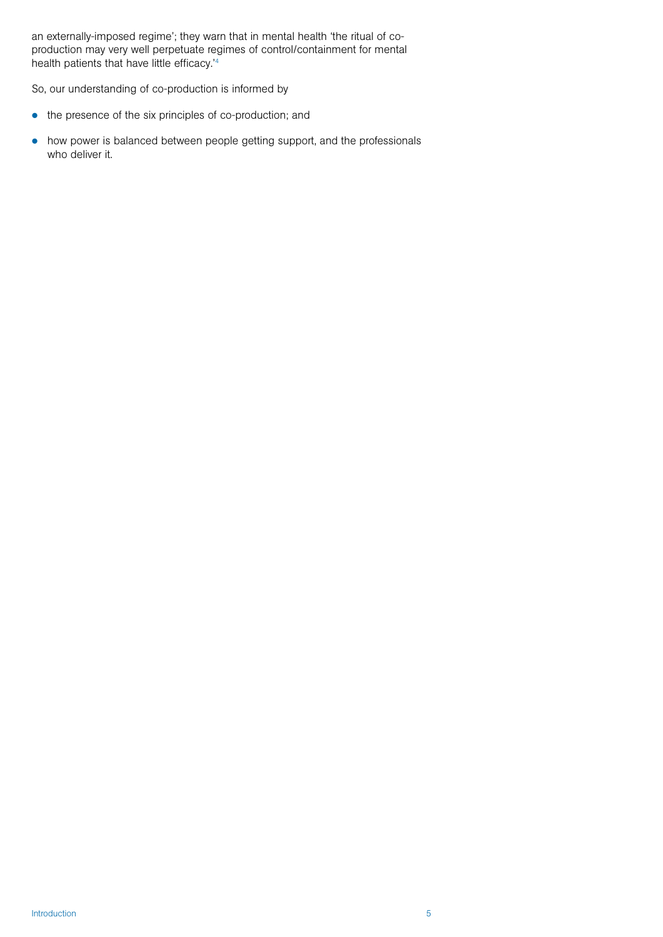an externally-imposed regime'; they warn that in mental health 'the ritual of coproduction may very well perpetuate regimes of control/containment for mental health patients that have little efficacy.'4

So, our understanding of co-production is informed by

- $\bullet$  the presence of the six principles of co-production; and
- how power is balanced between people getting support, and the professionals who deliver it.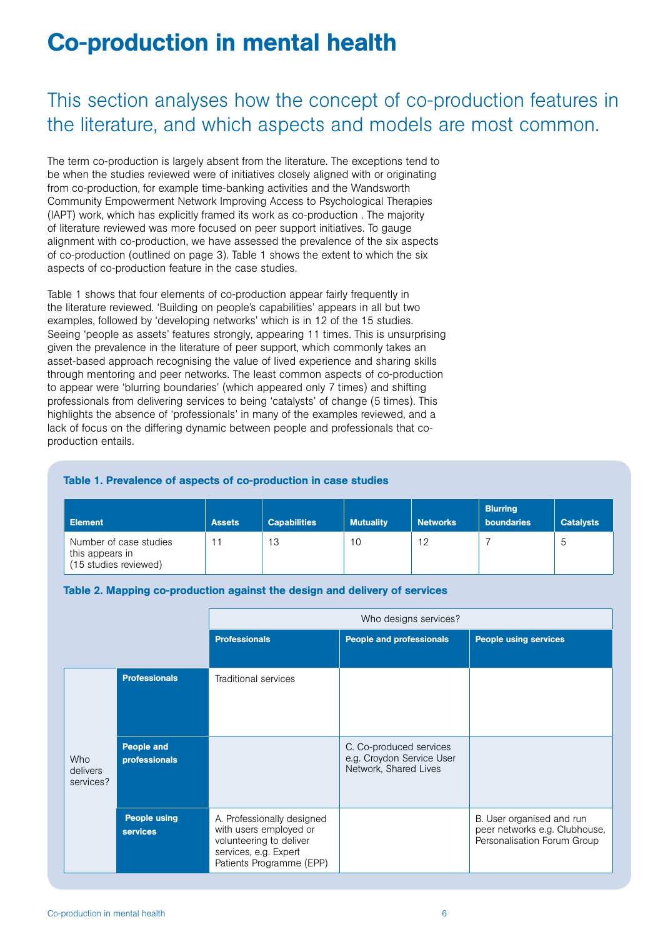# Co-production in mental health

### This section analyses how the concept of co-production features in the literature, and which aspects and models are most common.

The term co-production is largely absent from the literature. The exceptions tend to be when the studies reviewed were of initiatives closely aligned with or originating from co-production, for example time-banking activities and the Wandsworth Community Empowerment Network Improving Access to Psychological Therapies (IAPT) work, which has explicitly framed its work as co-production . The majority of literature reviewed was more focused on peer support initiatives. To gauge alignment with co-production, we have assessed the prevalence of the six aspects of co-production (outlined on page 3). Table 1 shows the extent to which the six aspects of co-production feature in the case studies.

Table 1 shows that four elements of co-production appear fairly frequently in the literature reviewed. 'Building on people's capabilities' appears in all but two examples, followed by 'developing networks' which is in 12 of the 15 studies. Seeing 'people as assets' features strongly, appearing 11 times. This is unsurprising given the prevalence in the literature of peer support, which commonly takes an asset-based approach recognising the value of lived experience and sharing skills through mentoring and peer networks. The least common aspects of co-production to appear were 'blurring boundaries' (which appeared only 7 times) and shifting professionals from delivering services to being 'catalysts' of change (5 times). This highlights the absence of 'professionals' in many of the examples reviewed, and a lack of focus on the differing dynamic between people and professionals that coproduction entails.

#### Table 1. Prevalence of aspects of co-production in case studies

| <b>Element</b>                                                     | <b>Assets</b> | <b>Capabilities</b> | <b>Mutuality</b> | <b>Networks</b> | <b>Blurring</b><br><b>boundaries</b> | <b>Catalysts</b> |
|--------------------------------------------------------------------|---------------|---------------------|------------------|-----------------|--------------------------------------|------------------|
| Number of case studies<br>this appears in<br>(15 studies reviewed) |               | 13                  | 10               | 12              |                                      | b                |

#### Table 2. Mapping co-production against the design and delivery of services

|                                     |                                        | Who designs services?                                                                                                                |                                                                               |                                                                                           |  |
|-------------------------------------|----------------------------------------|--------------------------------------------------------------------------------------------------------------------------------------|-------------------------------------------------------------------------------|-------------------------------------------------------------------------------------------|--|
|                                     |                                        | <b>Professionals</b>                                                                                                                 | <b>People and professionals</b>                                               | <b>People using services</b>                                                              |  |
|                                     | <b>Professionals</b>                   | Traditional services                                                                                                                 |                                                                               |                                                                                           |  |
| <b>Who</b><br>delivers<br>services? | <b>People and</b><br>professionals     |                                                                                                                                      | C. Co-produced services<br>e.g. Croydon Service User<br>Network, Shared Lives |                                                                                           |  |
|                                     | <b>People using</b><br><b>services</b> | A. Professionally designed<br>with users employed or<br>volunteering to deliver<br>services, e.g. Expert<br>Patients Programme (EPP) |                                                                               | B. User organised and run<br>peer networks e.g. Clubhouse,<br>Personalisation Forum Group |  |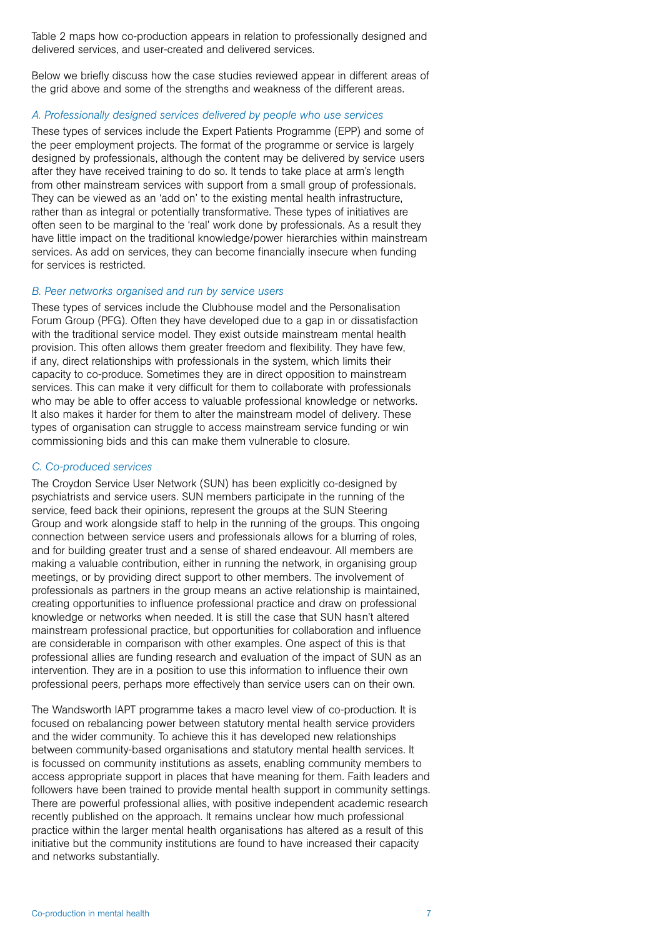Table 2 maps how co-production appears in relation to professionally designed and delivered services, and user-created and delivered services.

Below we briefly discuss how the case studies reviewed appear in different areas of the grid above and some of the strengths and weakness of the different areas.

#### *A. Professionally designed services delivered by people who use services*

These types of services include the Expert Patients Programme (EPP) and some of the peer employment projects. The format of the programme or service is largely designed by professionals, although the content may be delivered by service users after they have received training to do so. It tends to take place at arm's length from other mainstream services with support from a small group of professionals. They can be viewed as an 'add on' to the existing mental health infrastructure, rather than as integral or potentially transformative. These types of initiatives are often seen to be marginal to the 'real' work done by professionals. As a result they have little impact on the traditional knowledge/power hierarchies within mainstream services. As add on services, they can become financially insecure when funding for services is restricted.

#### *B. Peer networks organised and run by service users*

These types of services include the Clubhouse model and the Personalisation Forum Group (PFG). Often they have developed due to a gap in or dissatisfaction with the traditional service model. They exist outside mainstream mental health provision. This often allows them greater freedom and flexibility. They have few, if any, direct relationships with professionals in the system, which limits their capacity to co-produce. Sometimes they are in direct opposition to mainstream services. This can make it very difficult for them to collaborate with professionals who may be able to offer access to valuable professional knowledge or networks. It also makes it harder for them to alter the mainstream model of delivery. These types of organisation can struggle to access mainstream service funding or win commissioning bids and this can make them vulnerable to closure.

#### *C. Co-produced services*

The Croydon Service User Network (SUN) has been explicitly co-designed by psychiatrists and service users. SUN members participate in the running of the service, feed back their opinions, represent the groups at the SUN Steering Group and work alongside staff to help in the running of the groups. This ongoing connection between service users and professionals allows for a blurring of roles, and for building greater trust and a sense of shared endeavour. All members are making a valuable contribution, either in running the network, in organising group meetings, or by providing direct support to other members. The involvement of professionals as partners in the group means an active relationship is maintained, creating opportunities to influence professional practice and draw on professional knowledge or networks when needed. It is still the case that SUN hasn't altered mainstream professional practice, but opportunities for collaboration and influence are considerable in comparison with other examples. One aspect of this is that professional allies are funding research and evaluation of the impact of SUN as an intervention. They are in a position to use this information to influence their own professional peers, perhaps more effectively than service users can on their own.

The Wandsworth IAPT programme takes a macro level view of co-production. It is focused on rebalancing power between statutory mental health service providers and the wider community. To achieve this it has developed new relationships between community-based organisations and statutory mental health services. It is focussed on community institutions as assets, enabling community members to access appropriate support in places that have meaning for them. Faith leaders and followers have been trained to provide mental health support in community settings. There are powerful professional allies, with positive independent academic research recently published on the approach. It remains unclear how much professional practice within the larger mental health organisations has altered as a result of this initiative but the community institutions are found to have increased their capacity and networks substantially.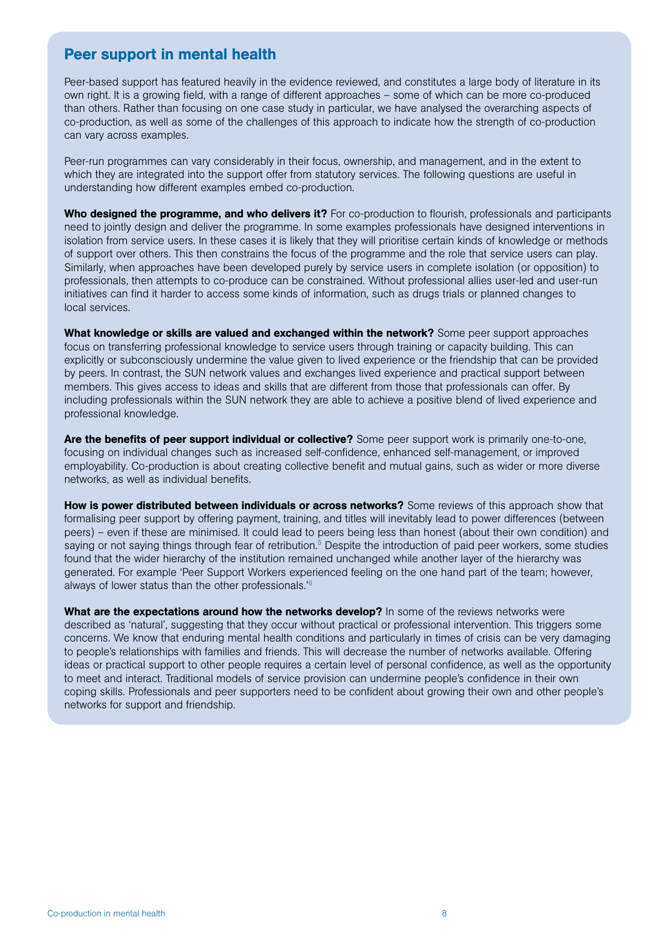### Peer support in mental health

Peer-based support has featured heavily in the evidence reviewed, and constitutes a large body of literature in its own right. It is a growing field, with a range of different approaches – some of which can be more co-produced than others. Rather than focusing on one case study in particular, we have analysed the overarching aspects of co-production, as well as some of the challenges of this approach to indicate how the strength of co-production can vary across examples.

Peer-run programmes can vary considerably in their focus, ownership, and management, and in the extent to which they are integrated into the support offer from statutory services. The following questions are useful in understanding how different examples embed co-production.

Who designed the programme, and who delivers it? For co-production to flourish, professionals and participants need to jointly design and deliver the programme. In some examples professionals have designed interventions in isolation from service users. In these cases it is likely that they will prioritise certain kinds of knowledge or methods of support over others. This then constrains the focus of the programme and the role that service users can play. Similarly, when approaches have been developed purely by service users in complete isolation (or opposition) to professionals, then attempts to co-produce can be constrained. Without professional allies user-led and user-run initiatives can find it harder to access some kinds of information, such as drugs trials or planned changes to local services.

What knowledge or skills are valued and exchanged within the network? Some peer support approaches focus on transferring professional knowledge to service users through training or capacity building. This can explicitly or subconsciously undermine the value given to lived experience or the friendship that can be provided by peers. In contrast, the SUN network values and exchanges lived experience and practical support between members. This gives access to ideas and skills that are different from those that professionals can offer. By including professionals within the SUN network they are able to achieve a positive blend of lived experience and professional knowledge.

Are the benefits of peer support individual or collective? Some peer support work is primarily one-to-one, focusing on individual changes such as increased self-confidence, enhanced self-management, or improved employability. Co-production is about creating collective benefit and mutual gains, such as wider or more diverse networks, as well as individual benefits.

How is power distributed between individuals or across networks? Some reviews of this approach show that formalising peer support by offering payment, training, and titles will inevitably lead to power differences (between peers) – even if these are minimised. It could lead to peers being less than honest (about their own condition) and saying or not saying things through fear of retribution.<sup>5</sup> Despite the introduction of paid peer workers, some studies found that the wider hierarchy of the institution remained unchanged while another layer of the hierarchy was generated. For example 'Peer Support Workers experienced feeling on the one hand part of the team; however, always of lower status than the other professionals.'6

What are the expectations around how the networks develop? In some of the reviews networks were described as 'natural', suggesting that they occur without practical or professional intervention. This triggers some concerns. We know that enduring mental health conditions and particularly in times of crisis can be very damaging to people's relationships with families and friends. This will decrease the number of networks available. Offering ideas or practical support to other people requires a certain level of personal confidence, as well as the opportunity to meet and interact. Traditional models of service provision can undermine people's confidence in their own coping skills. Professionals and peer supporters need to be confident about growing their own and other people's networks for support and friendship.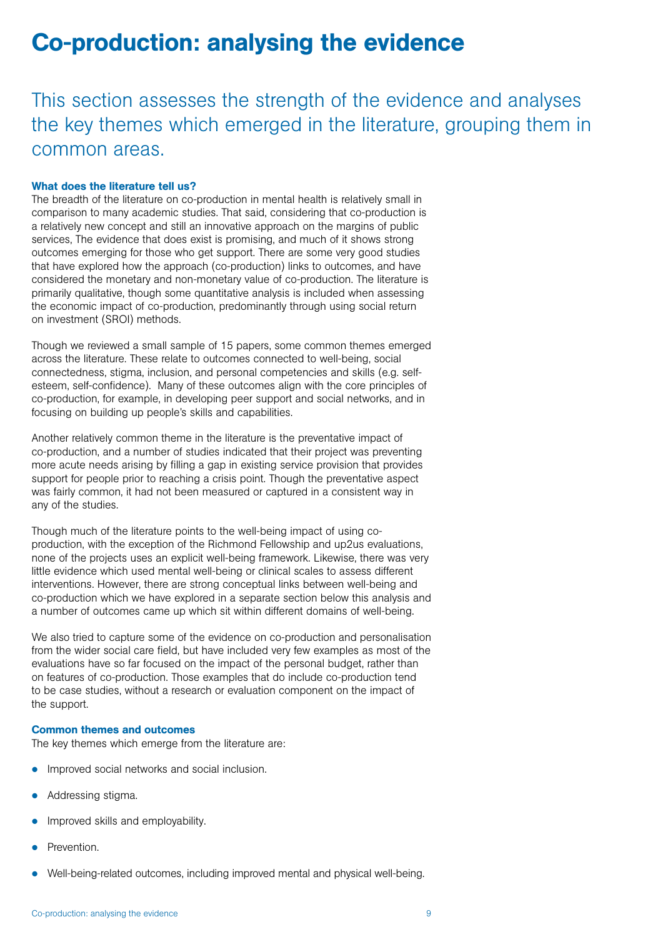### Co-production: analysing the evidence

This section assesses the strength of the evidence and analyses the key themes which emerged in the literature, grouping them in common areas.

#### What does the literature tell us?

The breadth of the literature on co-production in mental health is relatively small in comparison to many academic studies. That said, considering that co-production is a relatively new concept and still an innovative approach on the margins of public services, The evidence that does exist is promising, and much of it shows strong outcomes emerging for those who get support. There are some very good studies that have explored how the approach (co-production) links to outcomes, and have considered the monetary and non-monetary value of co-production. The literature is primarily qualitative, though some quantitative analysis is included when assessing the economic impact of co-production, predominantly through using social return on investment (SROI) methods.

Though we reviewed a small sample of 15 papers, some common themes emerged across the literature. These relate to outcomes connected to well-being, social connectedness, stigma, inclusion, and personal competencies and skills (e.g. selfesteem, self-confidence). Many of these outcomes align with the core principles of co-production, for example, in developing peer support and social networks, and in focusing on building up people's skills and capabilities.

Another relatively common theme in the literature is the preventative impact of co-production, and a number of studies indicated that their project was preventing more acute needs arising by filling a gap in existing service provision that provides support for people prior to reaching a crisis point. Though the preventative aspect was fairly common, it had not been measured or captured in a consistent way in any of the studies.

Though much of the literature points to the well-being impact of using coproduction, with the exception of the Richmond Fellowship and up2us evaluations, none of the projects uses an explicit well-being framework. Likewise, there was very little evidence which used mental well-being or clinical scales to assess different interventions. However, there are strong conceptual links between well-being and co-production which we have explored in a separate section below this analysis and a number of outcomes came up which sit within different domains of well-being.

We also tried to capture some of the evidence on co-production and personalisation from the wider social care field, but have included very few examples as most of the evaluations have so far focused on the impact of the personal budget, rather than on features of co-production. Those examples that do include co-production tend to be case studies, without a research or evaluation component on the impact of the support.

#### Common themes and outcomes

The key themes which emerge from the literature are:

- Improved social networks and social inclusion.
- Addressing stigma.
- Improved skills and employability.
- Prevention.
- Well-being-related outcomes, including improved mental and physical well-being.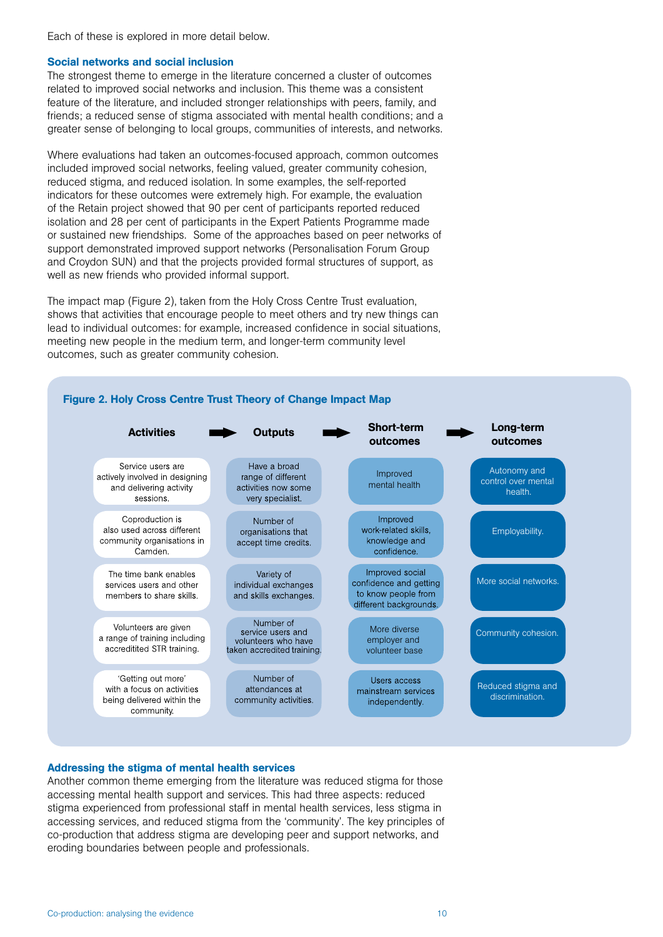Each of these is explored in more detail below.

#### Social networks and social inclusion

The strongest theme to emerge in the literature concerned a cluster of outcomes related to improved social networks and inclusion. This theme was a consistent feature of the literature, and included stronger relationships with peers, family, and friends; a reduced sense of stigma associated with mental health conditions; and a greater sense of belonging to local groups, communities of interests, and networks.

Where evaluations had taken an outcomes-focused approach, common outcomes included improved social networks, feeling valued, greater community cohesion, reduced stigma, and reduced isolation. In some examples, the self-reported indicators for these outcomes were extremely high. For example, the evaluation of the Retain project showed that 90 per cent of participants reported reduced isolation and 28 per cent of participants in the Expert Patients Programme made or sustained new friendships. Some of the approaches based on peer networks of support demonstrated improved support networks (Personalisation Forum Group and Croydon SUN) and that the projects provided formal structures of support, as well as new friends who provided informal support.

The impact map (Figure 2), taken from the Holy Cross Centre Trust evaluation, shows that activities that encourage people to meet others and try new things can lead to individual outcomes: for example, increased confidence in social situations, meeting new people in the medium term, and longer-term community level outcomes, such as greater community cohesion.



#### Addressing the stigma of mental health services

Another common theme emerging from the literature was reduced stigma for those accessing mental health support and services. This had three aspects: reduced stigma experienced from professional staff in mental health services, less stigma in accessing services, and reduced stigma from the 'community'. The key principles of co-production that address stigma are developing peer and support networks, and eroding boundaries between people and professionals.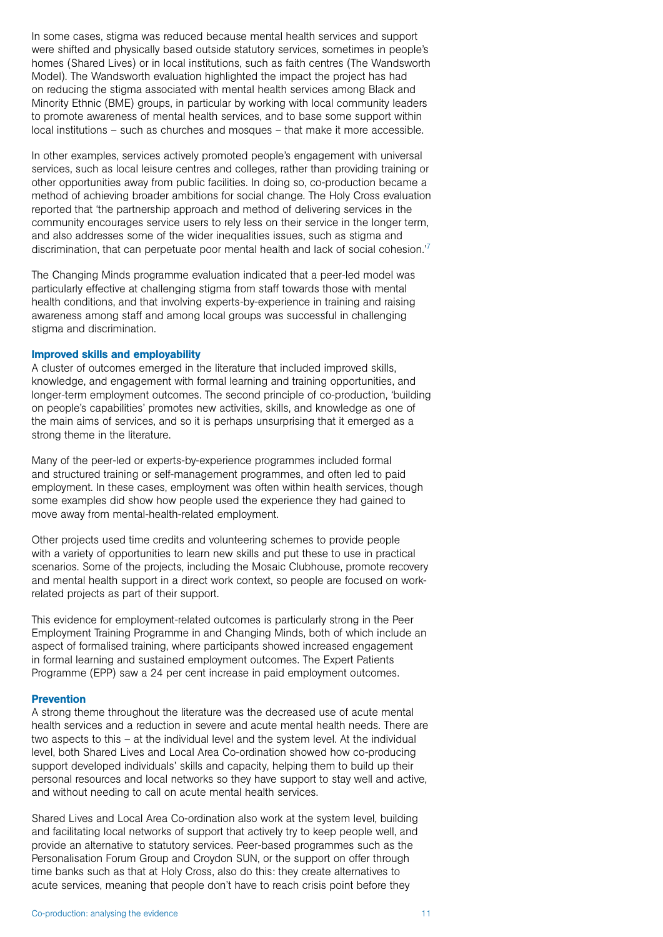In some cases, stigma was reduced because mental health services and support were shifted and physically based outside statutory services, sometimes in people's homes (Shared Lives) or in local institutions, such as faith centres (The Wandsworth Model). The Wandsworth evaluation highlighted the impact the project has had on reducing the stigma associated with mental health services among Black and Minority Ethnic (BME) groups, in particular by working with local community leaders to promote awareness of mental health services, and to base some support within local institutions – such as churches and mosques – that make it more accessible.

In other examples, services actively promoted people's engagement with universal services, such as local leisure centres and colleges, rather than providing training or other opportunities away from public facilities. In doing so, co-production became a method of achieving broader ambitions for social change. The Holy Cross evaluation reported that 'the partnership approach and method of delivering services in the community encourages service users to rely less on their service in the longer term, and also addresses some of the wider inequalities issues, such as stigma and discrimination, that can perpetuate poor mental health and lack of social cohesion.'7

The Changing Minds programme evaluation indicated that a peer-led model was particularly effective at challenging stigma from staff towards those with mental health conditions, and that involving experts-by-experience in training and raising awareness among staff and among local groups was successful in challenging stigma and discrimination.

#### Improved skills and employability

A cluster of outcomes emerged in the literature that included improved skills, knowledge, and engagement with formal learning and training opportunities, and longer-term employment outcomes. The second principle of co-production, 'building on people's capabilities' promotes new activities, skills, and knowledge as one of the main aims of services, and so it is perhaps unsurprising that it emerged as a strong theme in the literature.

Many of the peer-led or experts-by-experience programmes included formal and structured training or self-management programmes, and often led to paid employment. In these cases, employment was often within health services, though some examples did show how people used the experience they had gained to move away from mental-health-related employment.

Other projects used time credits and volunteering schemes to provide people with a variety of opportunities to learn new skills and put these to use in practical scenarios. Some of the projects, including the Mosaic Clubhouse, promote recovery and mental health support in a direct work context, so people are focused on workrelated projects as part of their support.

This evidence for employment-related outcomes is particularly strong in the Peer Employment Training Programme in and Changing Minds, both of which include an aspect of formalised training, where participants showed increased engagement in formal learning and sustained employment outcomes. The Expert Patients Programme (EPP) saw a 24 per cent increase in paid employment outcomes.

#### Prevention

A strong theme throughout the literature was the decreased use of acute mental health services and a reduction in severe and acute mental health needs. There are two aspects to this – at the individual level and the system level. At the individual level, both Shared Lives and Local Area Co-ordination showed how co-producing support developed individuals' skills and capacity, helping them to build up their personal resources and local networks so they have support to stay well and active, and without needing to call on acute mental health services.

Shared Lives and Local Area Co-ordination also work at the system level, building and facilitating local networks of support that actively try to keep people well, and provide an alternative to statutory services. Peer-based programmes such as the Personalisation Forum Group and Croydon SUN, or the support on offer through time banks such as that at Holy Cross, also do this: they create alternatives to acute services, meaning that people don't have to reach crisis point before they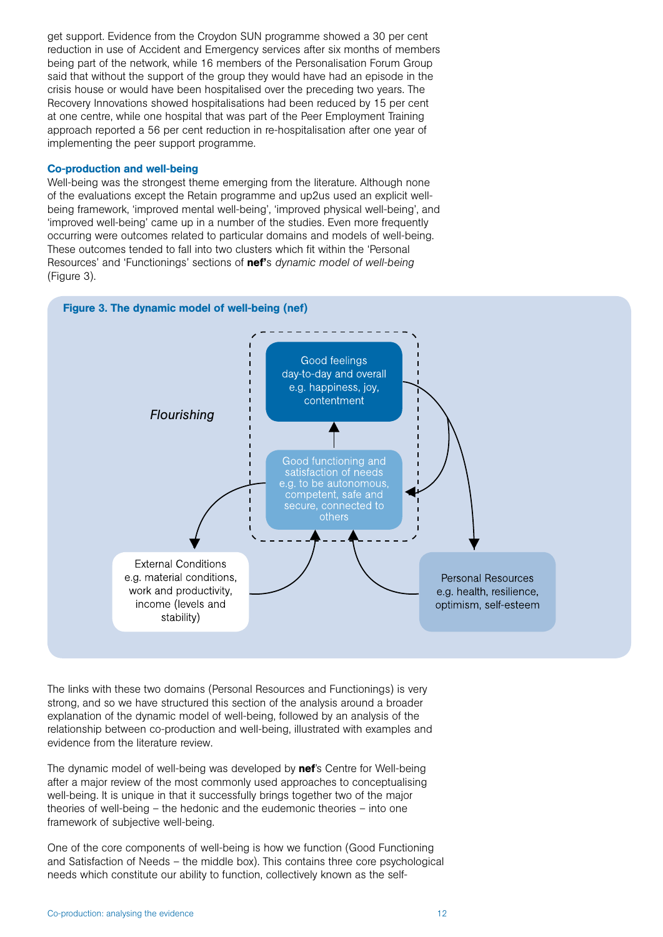get support. Evidence from the Croydon SUN programme showed a 30 per cent reduction in use of Accident and Emergency services after six months of members being part of the network, while 16 members of the Personalisation Forum Group said that without the support of the group they would have had an episode in the crisis house or would have been hospitalised over the preceding two years. The Recovery Innovations showed hospitalisations had been reduced by 15 per cent at one centre, while one hospital that was part of the Peer Employment Training approach reported a 56 per cent reduction in re-hospitalisation after one year of implementing the peer support programme.

#### Co-production and well-being

Well-being was the strongest theme emerging from the literature. Although none of the evaluations except the Retain programme and up2us used an explicit wellbeing framework, 'improved mental well-being', 'improved physical well-being', and 'improved well-being' came up in a number of the studies. Even more frequently occurring were outcomes related to particular domains and models of well-being. These outcomes tended to fall into two clusters which fit within the 'Personal Resources' and 'Functionings' sections of nef's *dynamic model of well-being*  (Figure 3).



The links with these two domains (Personal Resources and Functionings) is very strong, and so we have structured this section of the analysis around a broader explanation of the dynamic model of well-being, followed by an analysis of the relationship between co-production and well-being, illustrated with examples and evidence from the literature review.

The dynamic model of well-being was developed by nef's Centre for Well-being after a major review of the most commonly used approaches to conceptualising well-being. It is unique in that it successfully brings together two of the major theories of well-being – the hedonic and the eudemonic theories – into one framework of subjective well-being.

One of the core components of well-being is how we function (Good Functioning and Satisfaction of Needs – the middle box). This contains three core psychological needs which constitute our ability to function, collectively known as the self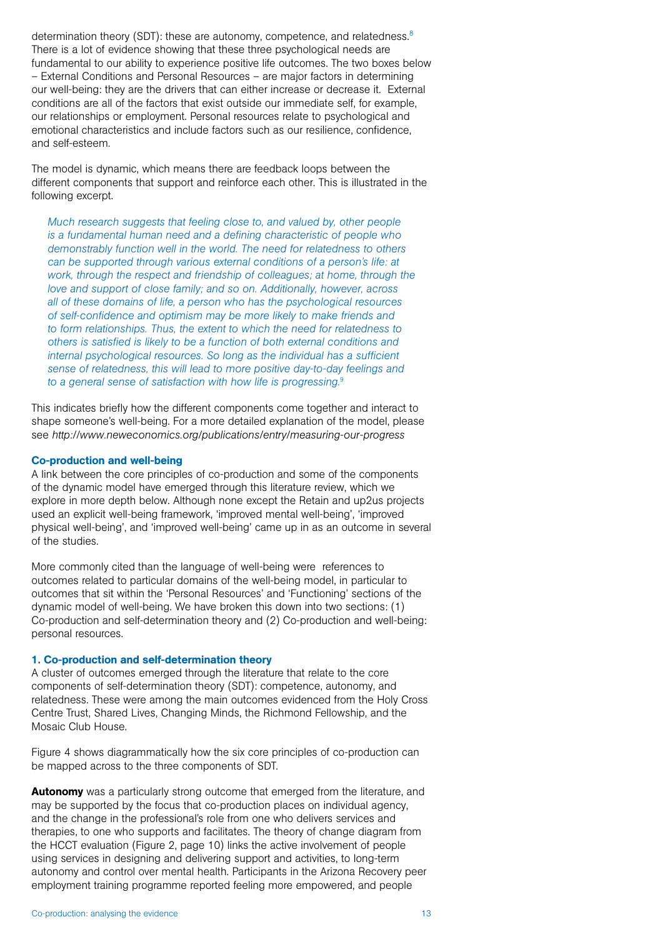determination theory (SDT): these are autonomy, competence, and relatedness.<sup>8</sup> There is a lot of evidence showing that these three psychological needs are fundamental to our ability to experience positive life outcomes. The two boxes below – External Conditions and Personal Resources – are major factors in determining our well-being: they are the drivers that can either increase or decrease it. External conditions are all of the factors that exist outside our immediate self, for example, our relationships or employment. Personal resources relate to psychological and emotional characteristics and include factors such as our resilience, confidence, and self-esteem.

The model is dynamic, which means there are feedback loops between the different components that support and reinforce each other. This is illustrated in the following excerpt.

*Much research suggests that feeling close to, and valued by, other people is a fundamental human need and a defining characteristic of people who demonstrably function well in the world. The need for relatedness to others can be supported through various external conditions of a person's life: at work, through the respect and friendship of colleagues; at home, through the love and support of close family; and so on. Additionally, however, across all of these domains of life, a person who has the psychological resources of self-confidence and optimism may be more likely to make friends and to form relationships. Thus, the extent to which the need for relatedness to others is satisfied is likely to be a function of both external conditions and internal psychological resources. So long as the individual has a sufficient sense of relatedness, this will lead to more positive day-to-day feelings and to a general sense of satisfaction with how life is progressing.*<sup>9</sup>

This indicates briefly how the different components come together and interact to shape someone's well-being. For a more detailed explanation of the model, please see *http://www.neweconomics.org/publications/entry/measuring-our-progress* 

#### Co-production and well-being

A link between the core principles of co-production and some of the components of the dynamic model have emerged through this literature review, which we explore in more depth below. Although none except the Retain and up2us projects used an explicit well-being framework, 'improved mental well-being', 'improved physical well-being', and 'improved well-being' came up in as an outcome in several of the studies.

More commonly cited than the language of well-being were references to outcomes related to particular domains of the well-being model, in particular to outcomes that sit within the 'Personal Resources' and 'Functioning' sections of the dynamic model of well-being. We have broken this down into two sections: (1) Co-production and self-determination theory and (2) Co-production and well-being: personal resources.

#### 1. Co-production and self-determination theory

A cluster of outcomes emerged through the literature that relate to the core components of self-determination theory (SDT): competence, autonomy, and relatedness. These were among the main outcomes evidenced from the Holy Cross Centre Trust, Shared Lives, Changing Minds, the Richmond Fellowship, and the Mosaic Club House.

Figure 4 shows diagrammatically how the six core principles of co-production can be mapped across to the three components of SDT.

Autonomy was a particularly strong outcome that emerged from the literature, and may be supported by the focus that co-production places on individual agency, and the change in the professional's role from one who delivers services and therapies, to one who supports and facilitates. The theory of change diagram from the HCCT evaluation (Figure 2, page 10) links the active involvement of people using services in designing and delivering support and activities, to long-term autonomy and control over mental health. Participants in the Arizona Recovery peer employment training programme reported feeling more empowered, and people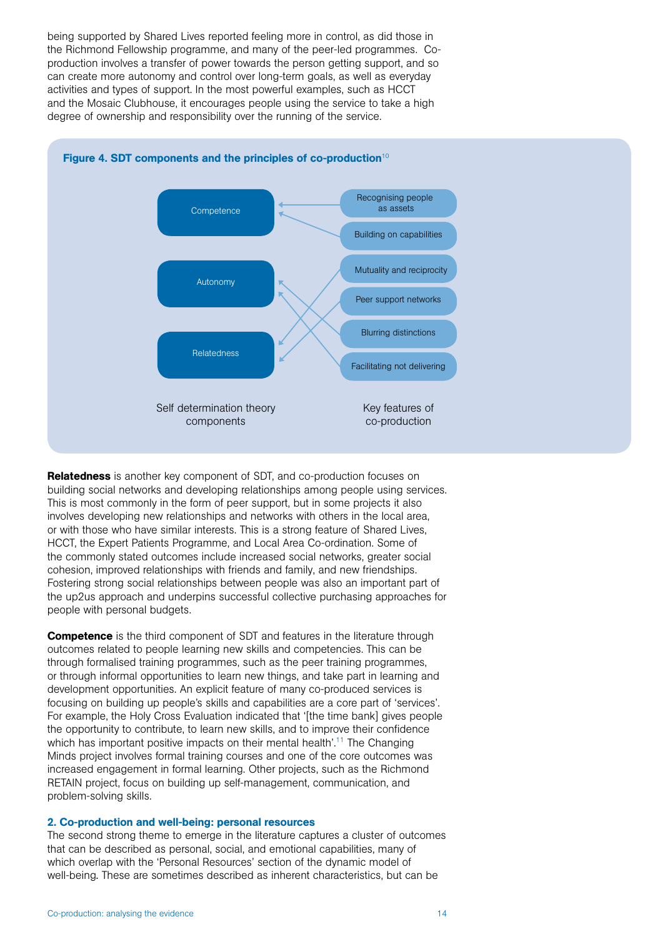being supported by Shared Lives reported feeling more in control, as did those in the Richmond Fellowship programme, and many of the peer-led programmes. Coproduction involves a transfer of power towards the person getting support, and so can create more autonomy and control over long-term goals, as well as everyday activities and types of support. In the most powerful examples, such as HCCT and the Mosaic Clubhouse, it encourages people using the service to take a high degree of ownership and responsibility over the running of the service.



Relatedness is another key component of SDT, and co-production focuses on building social networks and developing relationships among people using services. This is most commonly in the form of peer support, but in some projects it also involves developing new relationships and networks with others in the local area, or with those who have similar interests. This is a strong feature of Shared Lives, HCCT, the Expert Patients Programme, and Local Area Co-ordination. Some of the commonly stated outcomes include increased social networks, greater social cohesion, improved relationships with friends and family, and new friendships. Fostering strong social relationships between people was also an important part of the up2us approach and underpins successful collective purchasing approaches for people with personal budgets.

**Competence** is the third component of SDT and features in the literature through outcomes related to people learning new skills and competencies. This can be through formalised training programmes, such as the peer training programmes, or through informal opportunities to learn new things, and take part in learning and development opportunities. An explicit feature of many co-produced services is focusing on building up people's skills and capabilities are a core part of 'services'. For example, the Holy Cross Evaluation indicated that '[the time bank] gives people the opportunity to contribute, to learn new skills, and to improve their confidence which has important positive impacts on their mental health'.<sup>11</sup> The Changing Minds project involves formal training courses and one of the core outcomes was increased engagement in formal learning. Other projects, such as the Richmond RETAIN project, focus on building up self-management, communication, and problem-solving skills.

#### 2. Co-production and well-being: personal resources

The second strong theme to emerge in the literature captures a cluster of outcomes that can be described as personal, social, and emotional capabilities, many of which overlap with the 'Personal Resources' section of the dynamic model of well-being*.* These are sometimes described as inherent characteristics, but can be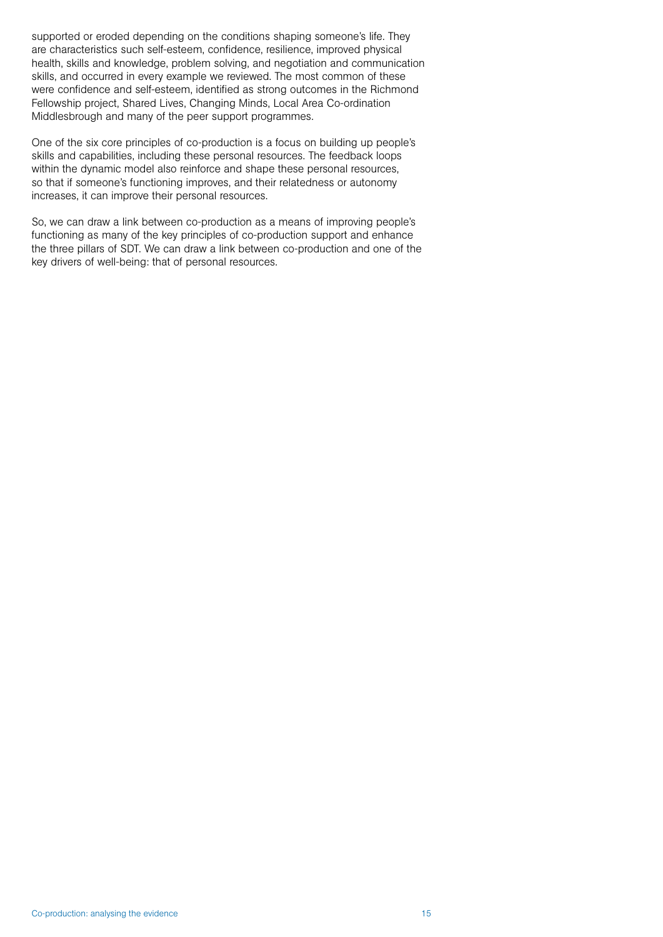supported or eroded depending on the conditions shaping someone's life. They are characteristics such self-esteem, confidence, resilience, improved physical health, skills and knowledge, problem solving, and negotiation and communication skills, and occurred in every example we reviewed. The most common of these were confidence and self-esteem, identified as strong outcomes in the Richmond Fellowship project, Shared Lives, Changing Minds, Local Area Co-ordination Middlesbrough and many of the peer support programmes.

One of the six core principles of co-production is a focus on building up people's skills and capabilities, including these personal resources. The feedback loops within the dynamic model also reinforce and shape these personal resources, so that if someone's functioning improves, and their relatedness or autonomy increases, it can improve their personal resources.

So, we can draw a link between co-production as a means of improving people's functioning as many of the key principles of co-production support and enhance the three pillars of SDT. We can draw a link between co-production and one of the key drivers of well-being: that of personal resources.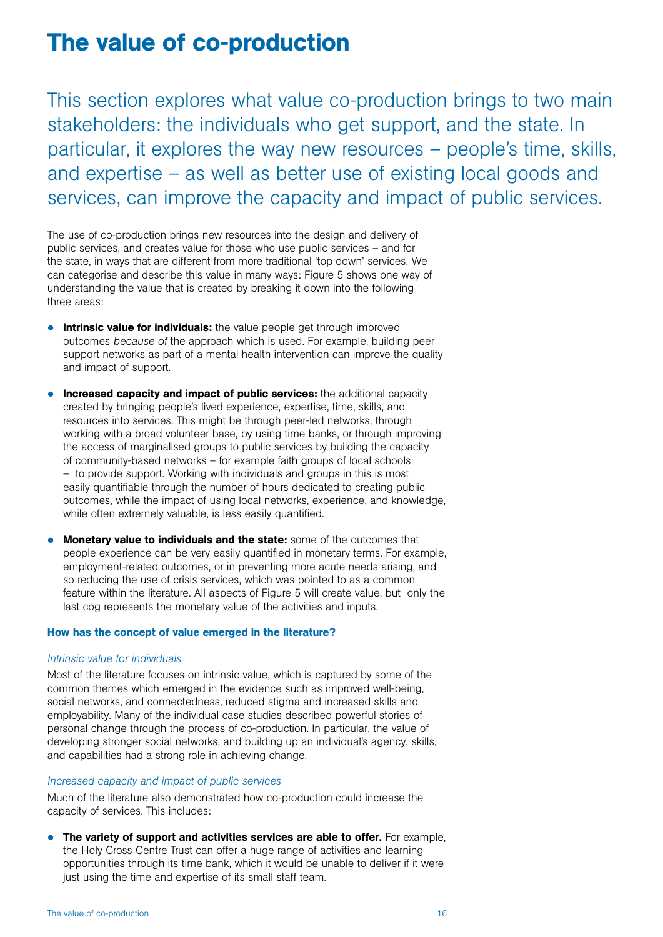### The value of co-production

This section explores what value co-production brings to two main stakeholders: the individuals who get support, and the state. In particular, it explores the way new resources – people's time, skills, and expertise – as well as better use of existing local goods and services, can improve the capacity and impact of public services.

The use of co-production brings new resources into the design and delivery of public services, and creates value for those who use public services – and for the state, in ways that are different from more traditional 'top down' services. We can categorise and describe this value in many ways: Figure 5 shows one way of understanding the value that is created by breaking it down into the following three areas:

- **Intrinsic value for individuals:** the value people get through improved outcomes *because of* the approach which is used. For example, building peer support networks as part of a mental health intervention can improve the quality and impact of support.
- $\bullet$  Increased capacity and impact of public services: the additional capacity created by bringing people's lived experience, expertise, time, skills, and resources into services. This might be through peer-led networks, through working with a broad volunteer base, by using time banks, or through improving the access of marginalised groups to public services by building the capacity of community-based networks – for example faith groups of local schools – to provide support. Working with individuals and groups in this is most easily quantifiable through the number of hours dedicated to creating public outcomes, while the impact of using local networks, experience, and knowledge, while often extremely valuable, is less easily quantified.
- Monetary value to individuals and the state: some of the outcomes that people experience can be very easily quantified in monetary terms. For example, employment-related outcomes, or in preventing more acute needs arising, and so reducing the use of crisis services, which was pointed to as a common feature within the literature. All aspects of Figure 5 will create value, but only the last cog represents the monetary value of the activities and inputs.

#### How has the concept of value emerged in the literature?

#### *Intrinsic value for individuals*

Most of the literature focuses on intrinsic value, which is captured by some of the common themes which emerged in the evidence such as improved well-being, social networks, and connectedness, reduced stigma and increased skills and employability. Many of the individual case studies described powerful stories of personal change through the process of co-production. In particular, the value of developing stronger social networks, and building up an individual's agency, skills, and capabilities had a strong role in achieving change.

#### *Increased capacity and impact of public services*

Much of the literature also demonstrated how co-production could increase the capacity of services. This includes:

 $\bullet$  The variety of support and activities services are able to offer. For example, the Holy Cross Centre Trust can offer a huge range of activities and learning opportunities through its time bank, which it would be unable to deliver if it were just using the time and expertise of its small staff team.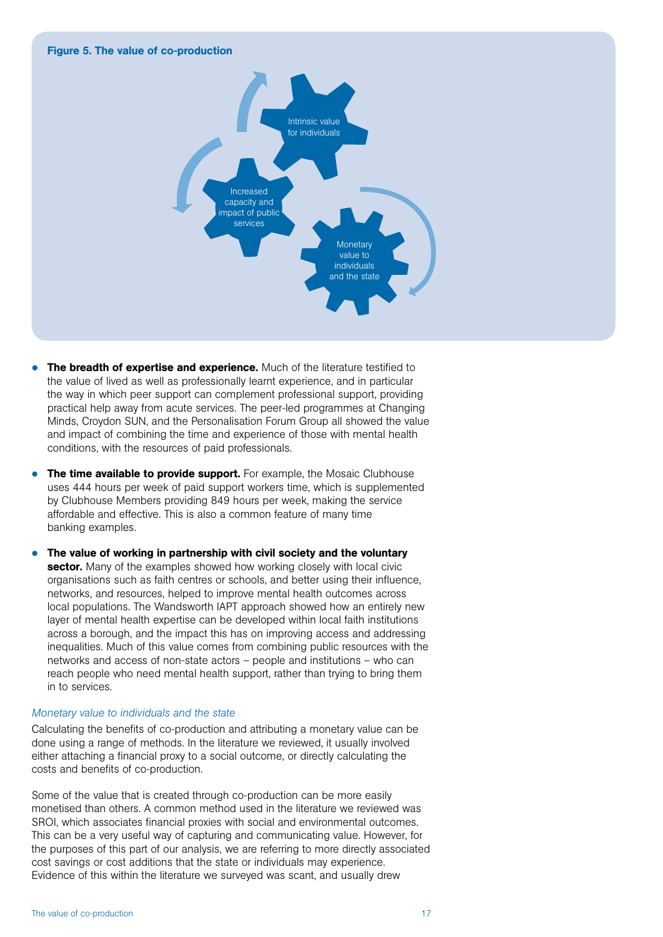#### Figure 5. The value of co-production



- The breadth of expertise and experience. Much of the literature testified to the value of lived as well as professionally learnt experience, and in particular the way in which peer support can complement professional support, providing practical help away from acute services. The peer-led programmes at Changing Minds, Croydon SUN, and the Personalisation Forum Group all showed the value and impact of combining the time and experience of those with mental health conditions, with the resources of paid professionals.
- The time available to provide support. For example, the Mosaic Clubhouse uses 444 hours per week of paid support workers time, which is supplemented by Clubhouse Members providing 849 hours per week, making the service affordable and effective. This is also a common feature of many time banking examples.
- The value of working in partnership with civil society and the voluntary sector. Many of the examples showed how working closely with local civic organisations such as faith centres or schools, and better using their influence, networks, and resources, helped to improve mental health outcomes across local populations. The Wandsworth IAPT approach showed how an entirely new layer of mental health expertise can be developed within local faith institutions across a borough, and the impact this has on improving access and addressing inequalities. Much of this value comes from combining public resources with the networks and access of non-state actors – people and institutions – who can reach people who need mental health support, rather than trying to bring them in to services.

#### *Monetary value to individuals and the state*

Calculating the benefits of co-production and attributing a monetary value can be done using a range of methods. In the literature we reviewed, it usually involved either attaching a financial proxy to a social outcome, or directly calculating the costs and benefits of co-production.

Some of the value that is created through co-production can be more easily monetised than others. A common method used in the literature we reviewed was SROI, which associates financial proxies with social and environmental outcomes. This can be a very useful way of capturing and communicating value. However, for the purposes of this part of our analysis, we are referring to more directly associated cost savings or cost additions that the state or individuals may experience. Evidence of this within the literature we surveyed was scant, and usually drew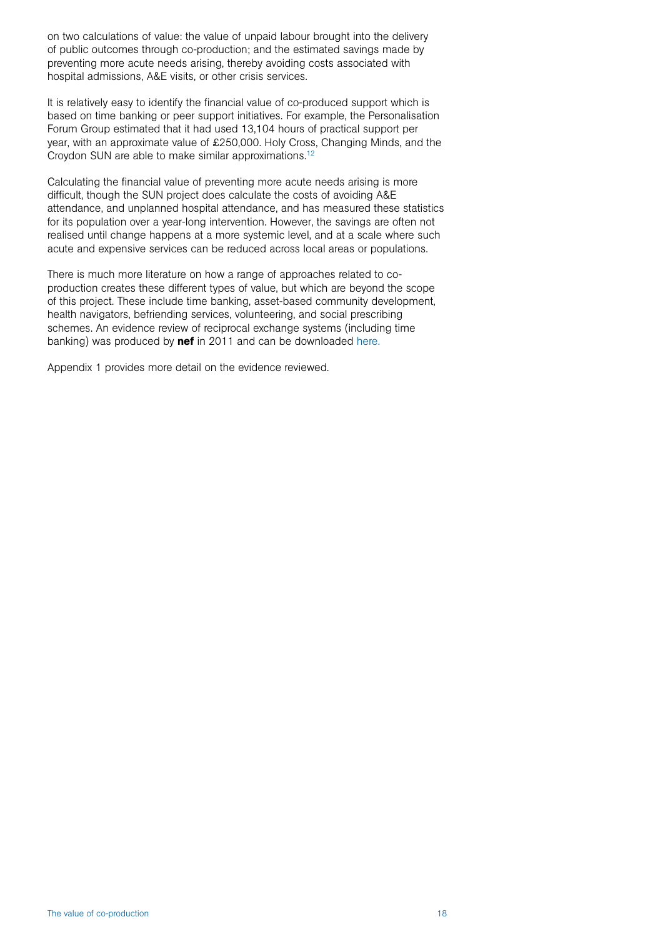on two calculations of value: the value of unpaid labour brought into the delivery of public outcomes through co-production; and the estimated savings made by preventing more acute needs arising, thereby avoiding costs associated with hospital admissions, A&E visits, or other crisis services.

It is relatively easy to identify the financial value of co-produced support which is based on time banking or peer support initiatives. For example, the Personalisation Forum Group estimated that it had used 13,104 hours of practical support per year, with an approximate value of £250,000. Holy Cross, Changing Minds, and the Croydon SUN are able to make similar approximations.12

Calculating the financial value of preventing more acute needs arising is more difficult, though the SUN project does calculate the costs of avoiding A&E attendance, and unplanned hospital attendance, and has measured these statistics for its population over a year-long intervention. However, the savings are often not realised until change happens at a more systemic level, and at a scale where such acute and expensive services can be reduced across local areas or populations.

There is much more literature on how a range of approaches related to coproduction creates these different types of value, but which are beyond the scope of this project. These include time banking, asset-based community development, health navigators, befriending services, volunteering, and social prescribing schemes. An evidence review of reciprocal exchange systems (including time banking) was produced by nef in 2011 and can be downloaded here.

Appendix 1 provides more detail on the evidence reviewed.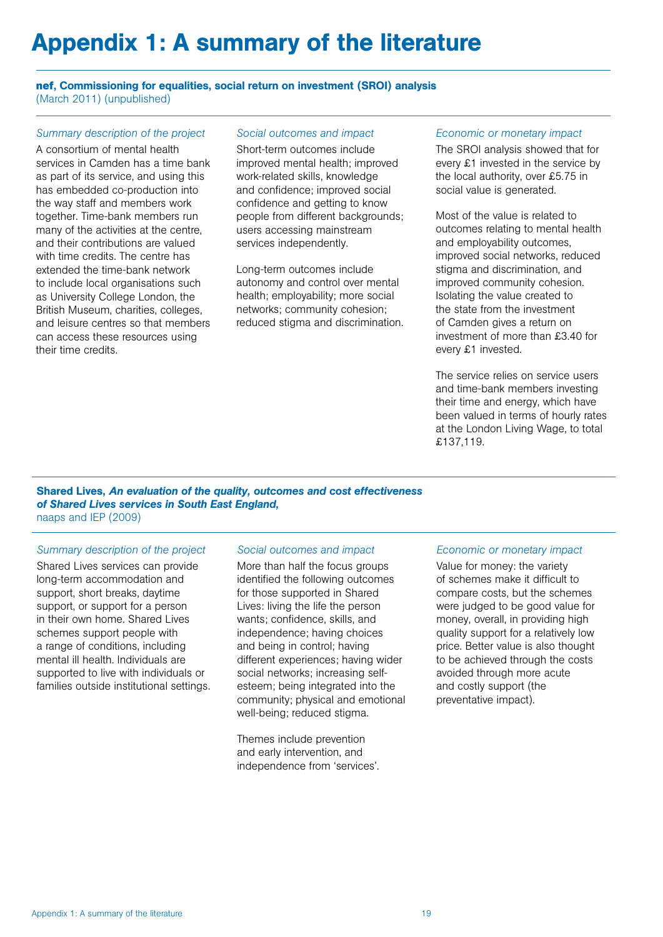# Appendix 1: A summary of the literature

#### **nef**, Commissioning for equalities, social return on investment (SROI) analysis (March 2011) (unpublished)

#### *Summary description of the project*

A consortium of mental health services in Camden has a time bank as part of its service, and using this has embedded co-production into the way staff and members work together. Time-bank members run many of the activities at the centre, and their contributions are valued with time credits. The centre has extended the time-bank network to include local organisations such as University College London, the British Museum, charities, colleges, and leisure centres so that members can access these resources using their time credits.

#### *Social outcomes and impact*

Short-term outcomes include improved mental health; improved work-related skills, knowledge and confidence; improved social confidence and getting to know people from different backgrounds; users accessing mainstream services independently.

Long-term outcomes include autonomy and control over mental health; employability; more social networks; community cohesion; reduced stigma and discrimination.

#### *Economic or monetary impact*

The SROI analysis showed that for every £1 invested in the service by the local authority, over £5.75 in social value is generated.

Most of the value is related to outcomes relating to mental health and employability outcomes, improved social networks, reduced stigma and discrimination, and improved community cohesion. Isolating the value created to the state from the investment of Camden gives a return on investment of more than £3.40 for every £1 invested.

The service relies on service users and time-bank members investing their time and energy, which have been valued in terms of hourly rates at the London Living Wage, to total £137,119.

Shared Lives, *An evaluation of the quality, outcomes and cost effectiveness of Shared Lives services in South East England,* naaps and IEP (2009)

#### *Summary description of the project*

Shared Lives services can provide long-term accommodation and support, short breaks, daytime support, or support for a person in their own home. Shared Lives schemes support people with a range of conditions, including mental ill health. Individuals are supported to live with individuals or families outside institutional settings.

#### *Social outcomes and impact*

More than half the focus groups identified the following outcomes for those supported in Shared Lives: living the life the person wants; confidence, skills, and independence; having choices and being in control; having different experiences; having wider social networks; increasing selfesteem; being integrated into the community; physical and emotional well-being; reduced stigma.

Themes include prevention and early intervention, and independence from 'services'.

#### *Economic or monetary impact*

Value for money: the variety of schemes make it difficult to compare costs, but the schemes were judged to be good value for money, overall, in providing high quality support for a relatively low price. Better value is also thought to be achieved through the costs avoided through more acute and costly support (the preventative impact).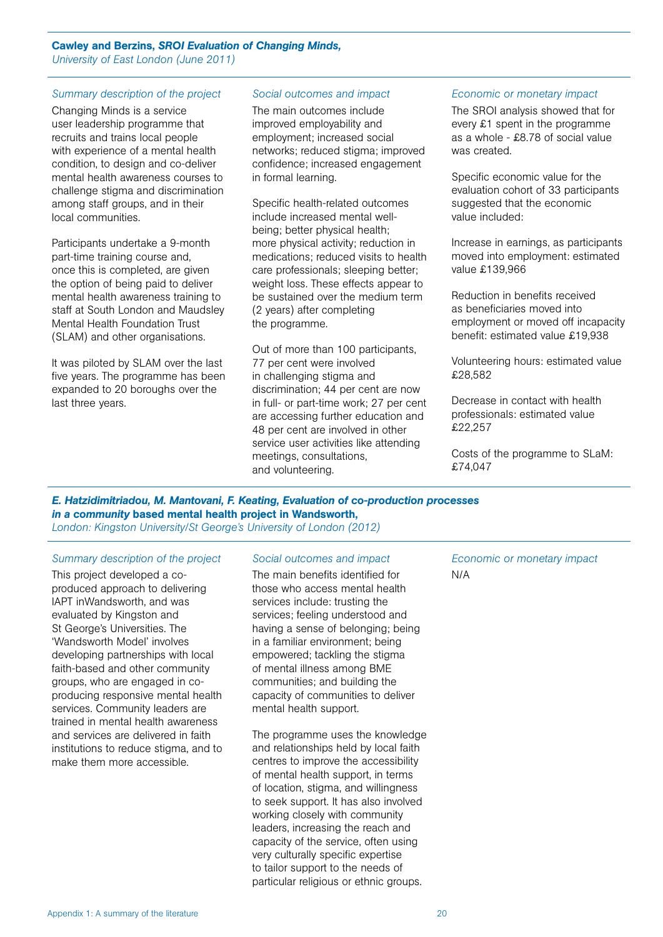#### Cawley and Berzins, *SROI Evaluation of Changing Minds, University of East London (June 2011)*

#### *Summary description of the project*

Changing Minds is a service user leadership programme that recruits and trains local people with experience of a mental health condition, to design and co-deliver mental health awareness courses to challenge stigma and discrimination among staff groups, and in their local communities.

Participants undertake a 9-month part-time training course and, once this is completed, are given the option of being paid to deliver mental health awareness training to staff at South London and Maudsley Mental Health Foundation Trust (SLAM) and other organisations.

It was piloted by SLAM over the last five years. The programme has been expanded to 20 boroughs over the last three years.

#### *Social outcomes and impact*

The main outcomes include improved employability and employment; increased social networks; reduced stigma; improved confidence; increased engagement in formal learning.

Specific health-related outcomes include increased mental wellbeing; better physical health; more physical activity; reduction in medications; reduced visits to health care professionals; sleeping better; weight loss. These effects appear to be sustained over the medium term (2 years) after completing the programme.

Out of more than 100 participants, 77 per cent were involved in challenging stigma and discrimination; 44 per cent are now in full- or part-time work; 27 per cent are accessing further education and 48 per cent are involved in other service user activities like attending meetings, consultations, and volunteering.

#### *Economic or monetary impact*

The SROI analysis showed that for every £1 spent in the programme as a whole - £8.78 of social value was created.

Specific economic value for the evaluation cohort of 33 participants suggested that the economic value included:

Increase in earnings, as participants moved into employment: estimated value £139,966

Reduction in benefits received as beneficiaries moved into employment or moved off incapacity benefit: estimated value £19,938

Volunteering hours: estimated value £28,582

Decrease in contact with health professionals: estimated value £22,257

Costs of the programme to SLaM: £74,047

*E. Hatzidimitriadou, M. Mantovani, F. Keating, Evaluation of co-production processes in a community* based mental health project in Wandsworth, *London: Kingston University/St George's University of London (2012)*

#### *Summary description of the project*

This project developed a coproduced approach to delivering IAPT inWandsworth, and was evaluated by Kingston and St George's Universities. The 'Wandsworth Model' involves developing partnerships with local faith-based and other community groups, who are engaged in coproducing responsive mental health services. Community leaders are trained in mental health awareness and services are delivered in faith institutions to reduce stigma, and to make them more accessible.

#### *Social outcomes and impact*

The main benefits identified for those who access mental health services include: trusting the services; feeling understood and having a sense of belonging; being in a familiar environment; being empowered; tackling the stigma of mental illness among BME communities; and building the capacity of communities to deliver mental health support.

The programme uses the knowledge and relationships held by local faith centres to improve the accessibility of mental health support, in terms of location, stigma, and willingness to seek support. It has also involved working closely with community leaders, increasing the reach and capacity of the service, often using very culturally specific expertise to tailor support to the needs of particular religious or ethnic groups.

*Economic or monetary impact* N/A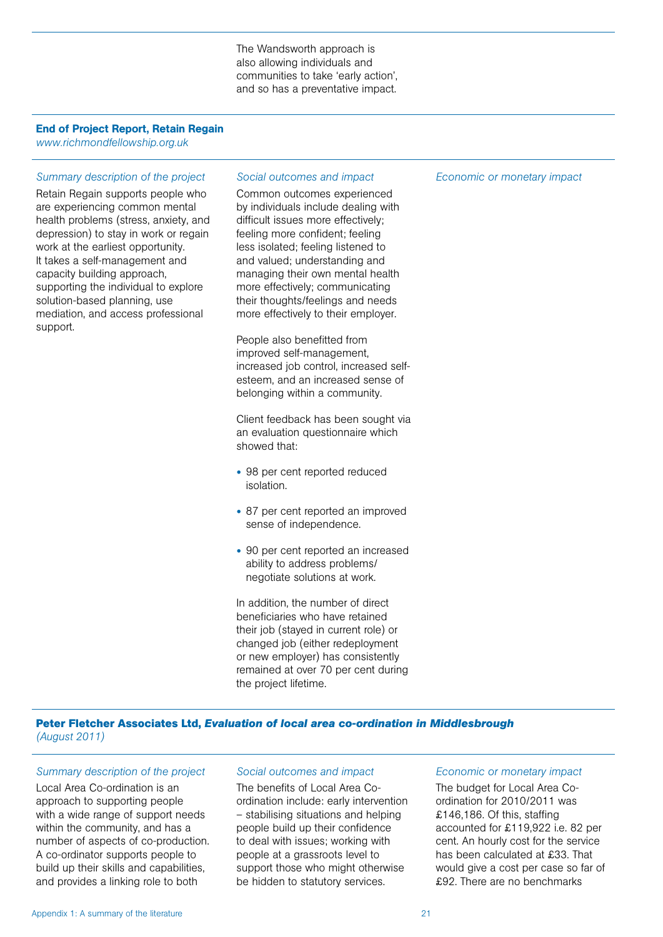The Wandsworth approach is also allowing individuals and communities to take 'early action', and so has a preventative impact.

#### End of Project Report, Retain Regain

*www.richmondfellowship.org.uk*

#### *Summary description of the project*

Retain Regain supports people who are experiencing common mental health problems (stress, anxiety, and depression) to stay in work or regain work at the earliest opportunity. It takes a self-management and capacity building approach, supporting the individual to explore solution-based planning, use mediation, and access professional support.

#### *Social outcomes and impact*

Common outcomes experienced by individuals include dealing with difficult issues more effectively; feeling more confident; feeling less isolated; feeling listened to and valued; understanding and managing their own mental health more effectively; communicating their thoughts/feelings and needs more effectively to their employer.

People also benefitted from improved self-management, increased job control, increased selfesteem, and an increased sense of belonging within a community.

Client feedback has been sought via an evaluation questionnaire which showed that:

- 98 per cent reported reduced isolation.
- 87 per cent reported an improved sense of independence.
- 90 per cent reported an increased ability to address problems/ negotiate solutions at work.

In addition, the number of direct beneficiaries who have retained their job (stayed in current role) or changed job (either redeployment or new employer) has consistently remained at over 70 per cent during the project lifetime.

*Economic or monetary impact*

#### **Peter Fletcher Associates Ltd,** *Evaluation of local area co-ordination in Middlesbrough (August 2011)*

#### *Summary description of the project*

Local Area Co-ordination is an approach to supporting people with a wide range of support needs within the community, and has a number of aspects of co-production. A co-ordinator supports people to build up their skills and capabilities, and provides a linking role to both

#### *Social outcomes and impact*

The benefits of Local Area Coordination include: early intervention – stabilising situations and helping people build up their confidence to deal with issues; working with people at a grassroots level to support those who might otherwise be hidden to statutory services.

#### *Economic or monetary impact*

The budget for Local Area Coordination for 2010/2011 was £146,186. Of this, staffing accounted for £119,922 i.e. 82 per cent. An hourly cost for the service has been calculated at £33. That would give a cost per case so far of £92. There are no benchmarks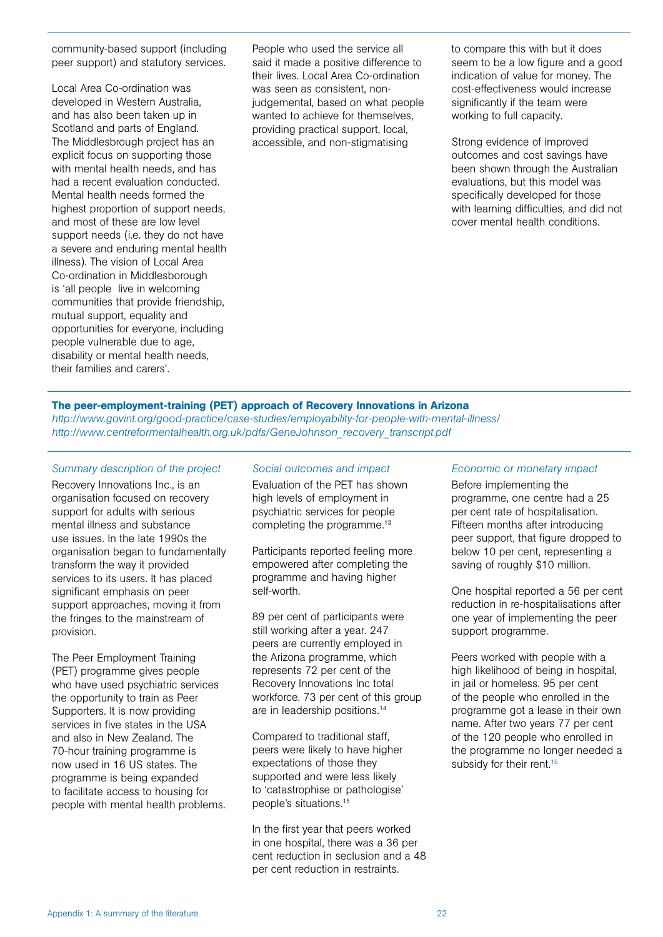community-based support (including peer support) and statutory services.

Local Area Co-ordination was developed in Western Australia, and has also been taken up in Scotland and parts of England. The Middlesbrough project has an explicit focus on supporting those with mental health needs, and has had a recent evaluation conducted. Mental health needs formed the highest proportion of support needs, and most of these are low level support needs (i.e. they do not have a severe and enduring mental health illness). The vision of Local Area Co-ordination in Middlesborough is 'all people live in welcoming communities that provide friendship, mutual support, equality and opportunities for everyone, including people vulnerable due to age, disability or mental health needs, their families and carers'.

People who used the service all said it made a positive difference to their lives. Local Area Co-ordination was seen as consistent, nonjudgemental, based on what people wanted to achieve for themselves, providing practical support, local, accessible, and non-stigmatising

to compare this with but it does seem to be a low figure and a good indication of value for money. The cost-effectiveness would increase significantly if the team were working to full capacity.

Strong evidence of improved outcomes and cost savings have been shown through the Australian evaluations, but this model was specifically developed for those with learning difficulties, and did not cover mental health conditions.

#### The peer-employment-training (PET) approach of Recovery Innovations in Arizona

*http://www.govint.org/good-practice/case-studies/employability-for-people-with-mental-illness/ http://www.centreformentalhealth.org.uk/pdfs/GeneJohnson\_recovery\_transcript.pdf*

#### *Summary description of the project*

Recovery Innovations Inc., is an organisation focused on recovery support for adults with serious mental illness and substance use issues. In the late 1990s the organisation began to fundamentally transform the way it provided services to its users. It has placed significant emphasis on peer support approaches, moving it from the fringes to the mainstream of provision.

The Peer Employment Training (PET) programme gives people who have used psychiatric services the opportunity to train as Peer Supporters. It is now providing services in five states in the USA and also in New Zealand. The 70-hour training programme is now used in 16 US states. The programme is being expanded to facilitate access to housing for people with mental health problems.

#### *Social outcomes and impact*

Evaluation of the PET has shown high levels of employment in psychiatric services for people completing the programme.<sup>13</sup>

Participants reported feeling more empowered after completing the programme and having higher self-worth.

89 per cent of participants were still working after a year. 247 peers are currently employed in the Arizona programme, which represents 72 per cent of the Recovery Innovations Inc total workforce. 73 per cent of this group are in leadership positions.14

Compared to traditional staff, peers were likely to have higher expectations of those they supported and were less likely to 'catastrophise or pathologise' people's situations.15

In the first year that peers worked in one hospital, there was a 36 per cent reduction in seclusion and a 48 per cent reduction in restraints.

#### *Economic or monetary impact*

Before implementing the programme, one centre had a 25 per cent rate of hospitalisation. Fifteen months after introducing peer support, that figure dropped to below 10 per cent, representing a saving of roughly \$10 million.

One hospital reported a 56 per cent reduction in re-hospitalisations after one year of implementing the peer support programme.

Peers worked with people with a high likelihood of being in hospital, in jail or homeless. 95 per cent of the people who enrolled in the programme got a lease in their own name. After two years 77 per cent of the 120 people who enrolled in the programme no longer needed a subsidy for their rent.<sup>16</sup>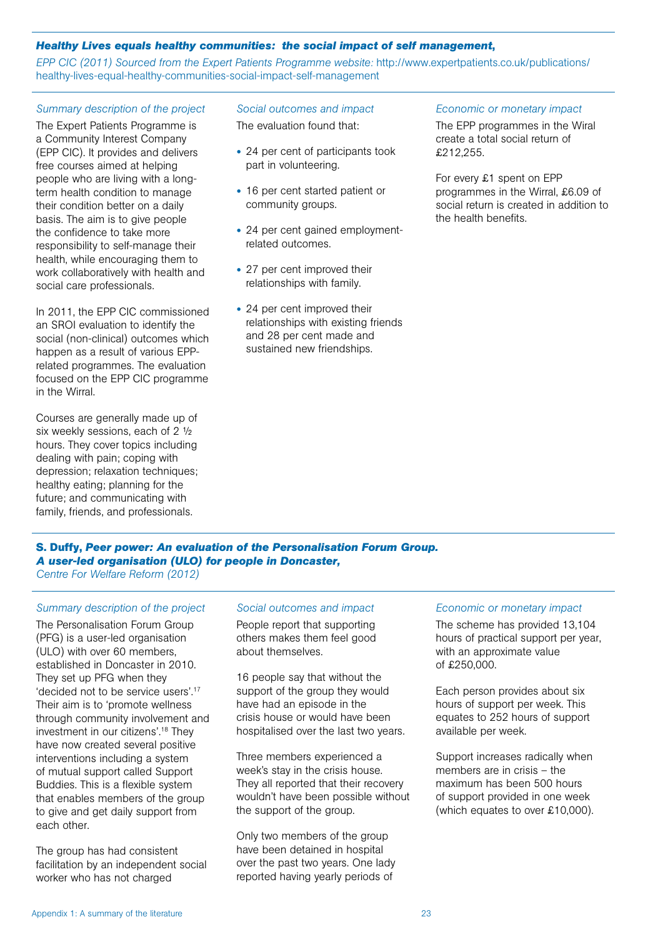#### *Healthy Lives equals healthy communities: the social impact of self management***,**

*EPP CIC (2011) Sourced from the Expert Patients Programme website:* http://www.expertpatients.co.uk/publications/ healthy-lives-equal-healthy-communities-social-impact-self-management

#### *Summary description of the project*

The Expert Patients Programme is a Community Interest Company (EPP CIC). It provides and delivers free courses aimed at helping people who are living with a longterm health condition to manage their condition better on a daily basis. The aim is to give people the confidence to take more responsibility to self-manage their health, while encouraging them to work collaboratively with health and social care professionals.

In 2011, the EPP CIC commissioned an SROI evaluation to identify the social (non-clinical) outcomes which happen as a result of various EPPrelated programmes. The evaluation focused on the EPP CIC programme in the Wirral.

Courses are generally made up of six weekly sessions, each of 2 ½ hours. They cover topics including dealing with pain; coping with depression; relaxation techniques; healthy eating; planning for the future; and communicating with family, friends, and professionals.

#### *Social outcomes and impact*

The evaluation found that:

- 24 per cent of participants took part in volunteering.
- 16 per cent started patient or community groups.
- 24 per cent gained employmentrelated outcomes.
- 27 per cent improved their relationships with family.
- 24 per cent improved their relationships with existing friends and 28 per cent made and sustained new friendships.

#### *Economic or monetary impact*

The EPP programmes in the Wiral create a total social return of £212,255.

For every £1 spent on EPP programmes in the Wirral, £6.09 of social return is created in addition to the health benefits.

**S. Duffy,** *Peer power: An evaluation of the Personalisation Forum Group. A user-led organisation (ULO) for people in Doncaster, Centre For Welfare Reform (2012)*

#### *Summary description of the project*

The Personalisation Forum Group (PFG) is a user-led organisation (ULO) with over 60 members, established in Doncaster in 2010. They set up PFG when they 'decided not to be service users'.17 Their aim is to 'promote wellness through community involvement and investment in our citizens'.18 They have now created several positive interventions including a system of mutual support called Support Buddies. This is a flexible system that enables members of the group to give and get daily support from each other.

The group has had consistent facilitation by an independent social worker who has not charged

#### *Social outcomes and impact*

People report that supporting others makes them feel good about themselves.

16 people say that without the support of the group they would have had an episode in the crisis house or would have been hospitalised over the last two years.

Three members experienced a week's stay in the crisis house. They all reported that their recovery wouldn't have been possible without the support of the group.

Only two members of the group have been detained in hospital over the past two years. One lady reported having yearly periods of

#### *Economic or monetary impact*

The scheme has provided 13,104 hours of practical support per year, with an approximate value of £250,000.

Each person provides about six hours of support per week. This equates to 252 hours of support available per week.

Support increases radically when members are in crisis – the maximum has been 500 hours of support provided in one week (which equates to over £10,000).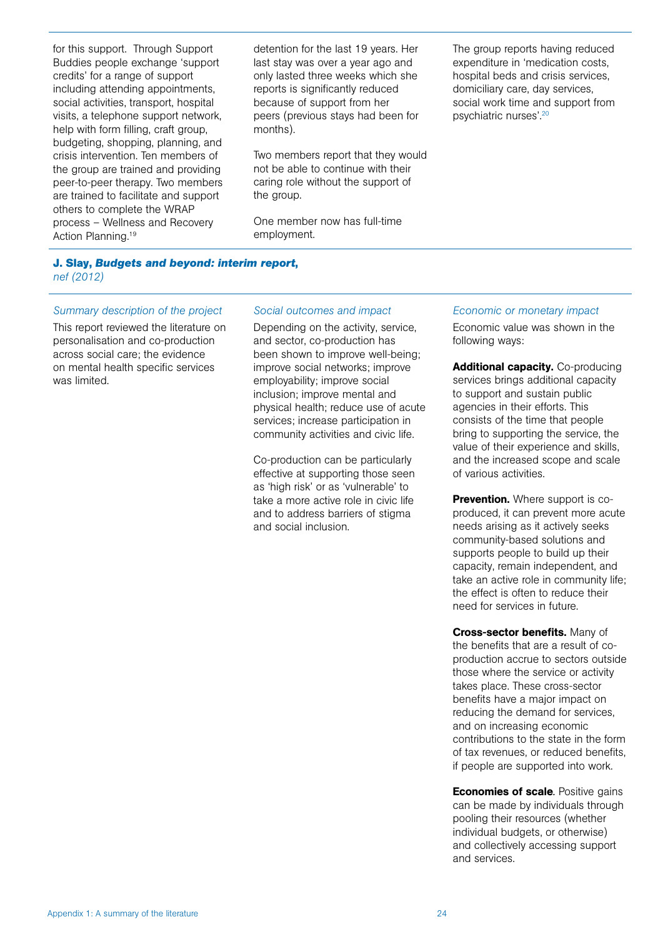for this support. Through Support Buddies people exchange 'support credits' for a range of support including attending appointments, social activities, transport, hospital visits, a telephone support network, help with form filling, craft group, budgeting, shopping, planning, and crisis intervention. Ten members of the group are trained and providing peer-to-peer therapy. Two members are trained to facilitate and support others to complete the WRAP process – Wellness and Recovery Action Planning.<sup>19</sup>

detention for the last 19 years. Her last stay was over a year ago and only lasted three weeks which she reports is significantly reduced because of support from her peers (previous stays had been for months).

Two members report that they would not be able to continue with their caring role without the support of the group.

One member now has full-time employment.

The group reports having reduced expenditure in 'medication costs, hospital beds and crisis services, domiciliary care, day services, social work time and support from psychiatric nurses'.20

#### **J. Slay,** *Budgets and beyond: interim report***,**  *nef (2012)*

#### *Summary description of the project*

This report reviewed the literature on personalisation and co-production across social care; the evidence on mental health specific services was limited.

#### *Social outcomes and impact*

Depending on the activity, service, and sector, co-production has been shown to improve well-being; improve social networks; improve employability; improve social inclusion; improve mental and physical health; reduce use of acute services; increase participation in community activities and civic life.

Co-production can be particularly effective at supporting those seen as 'high risk' or as 'vulnerable' to take a more active role in civic life and to address barriers of stigma and social inclusion.

#### *Economic or monetary impact*

Economic value was shown in the following ways:

Additional capacity. Co-producing services brings additional capacity to support and sustain public agencies in their efforts. This consists of the time that people bring to supporting the service, the value of their experience and skills, and the increased scope and scale of various activities.

**Prevention.** Where support is coproduced, it can prevent more acute needs arising as it actively seeks community-based solutions and supports people to build up their capacity, remain independent, and take an active role in community life; the effect is often to reduce their need for services in future.

Cross-sector benefits. Many of the benefits that are a result of coproduction accrue to sectors outside those where the service or activity takes place. These cross-sector benefits have a major impact on reducing the demand for services, and on increasing economic contributions to the state in the form of tax revenues, or reduced benefits, if people are supported into work.

**Economies of scale**. Positive gains can be made by individuals through pooling their resources (whether individual budgets, or otherwise) and collectively accessing support and services.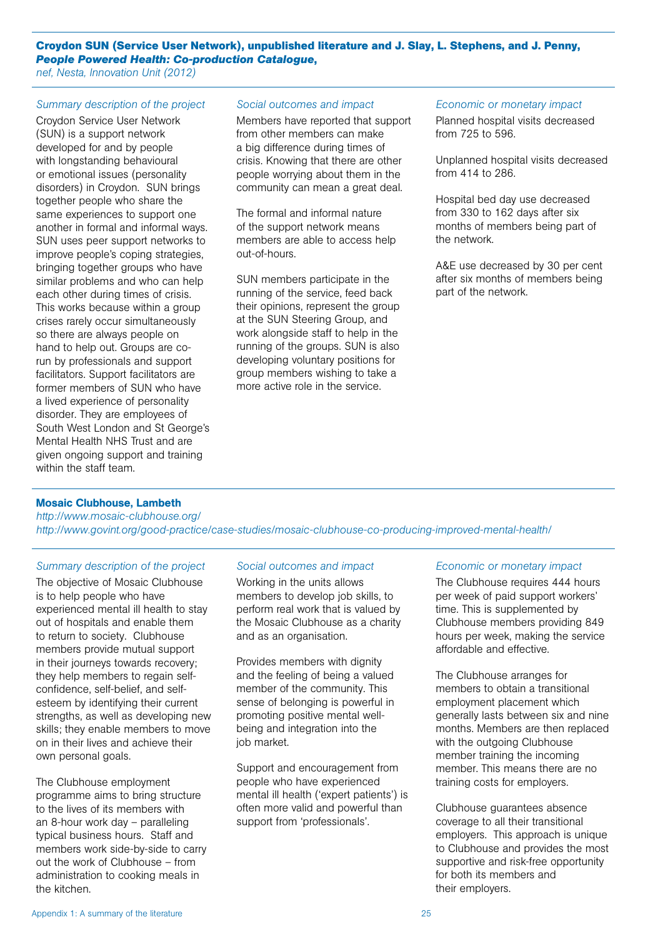**Croydon SUN (Service User Network), unpublished literature and J. Slay, L. Stephens, and J. Penny,**  *People Powered Health: Co-production Catalogue***,** 

*nef, Nesta, Innovation Unit (2012)*

#### *Summary description of the project*

Croydon Service User Network (SUN) is a support network developed for and by people with longstanding behavioural or emotional issues (personality disorders) in Croydon. SUN brings together people who share the same experiences to support one another in formal and informal ways. SUN uses peer support networks to improve people's coping strategies, bringing together groups who have similar problems and who can help each other during times of crisis. This works because within a group crises rarely occur simultaneously so there are always people on hand to help out. Groups are corun by professionals and support facilitators. Support facilitators are former members of SUN who have a lived experience of personality disorder. They are employees of South West London and St George's Mental Health NHS Trust and are given ongoing support and training within the staff team.

#### *Social outcomes and impact*

Members have reported that support from other members can make a big difference during times of crisis. Knowing that there are other people worrying about them in the community can mean a great deal.

The formal and informal nature of the support network means members are able to access help out-of-hours.

SUN members participate in the running of the service, feed back their opinions, represent the group at the SUN Steering Group, and work alongside staff to help in the running of the groups. SUN is also developing voluntary positions for group members wishing to take a more active role in the service.

#### *Economic or monetary impact*

Planned hospital visits decreased from 725 to 596.

Unplanned hospital visits decreased from 414 to 286.

Hospital bed day use decreased from 330 to 162 days after six months of members being part of the network.

A&E use decreased by 30 per cent after six months of members being part of the network.

#### Mosaic Clubhouse, Lambeth

*http://www.mosaic-clubhouse.org/ http://www.govint.org/good-practice/case-studies/mosaic-clubhouse-co-producing-improved-mental-health/*

#### *Summary description of the project*

The objective of Mosaic Clubhouse is to help people who have experienced mental ill health to stay out of hospitals and enable them to return to society. Clubhouse members provide mutual support in their journeys towards recovery; they help members to regain selfconfidence, self-belief, and selfesteem by identifying their current strengths, as well as developing new skills; they enable members to move on in their lives and achieve their own personal goals.

The Clubhouse employment programme aims to bring structure to the lives of its members with an 8-hour work day – paralleling typical business hours. Staff and members work side-by-side to carry out the work of Clubhouse – from administration to cooking meals in the kitchen.

#### *Social outcomes and impact*

Working in the units allows members to develop job skills, to perform real work that is valued by the Mosaic Clubhouse as a charity and as an organisation.

Provides members with dignity and the feeling of being a valued member of the community. This sense of belonging is powerful in promoting positive mental wellbeing and integration into the job market.

Support and encouragement from people who have experienced mental ill health ('expert patients') is often more valid and powerful than support from 'professionals'.

#### *Economic or monetary impact*

The Clubhouse requires 444 hours per week of paid support workers' time. This is supplemented by Clubhouse members providing 849 hours per week, making the service affordable and effective.

The Clubhouse arranges for members to obtain a transitional employment placement which generally lasts between six and nine months. Members are then replaced with the outgoing Clubhouse member training the incoming member. This means there are no training costs for employers.

Clubhouse guarantees absence coverage to all their transitional employers. This approach is unique to Clubhouse and provides the most supportive and risk-free opportunity for both its members and their employers.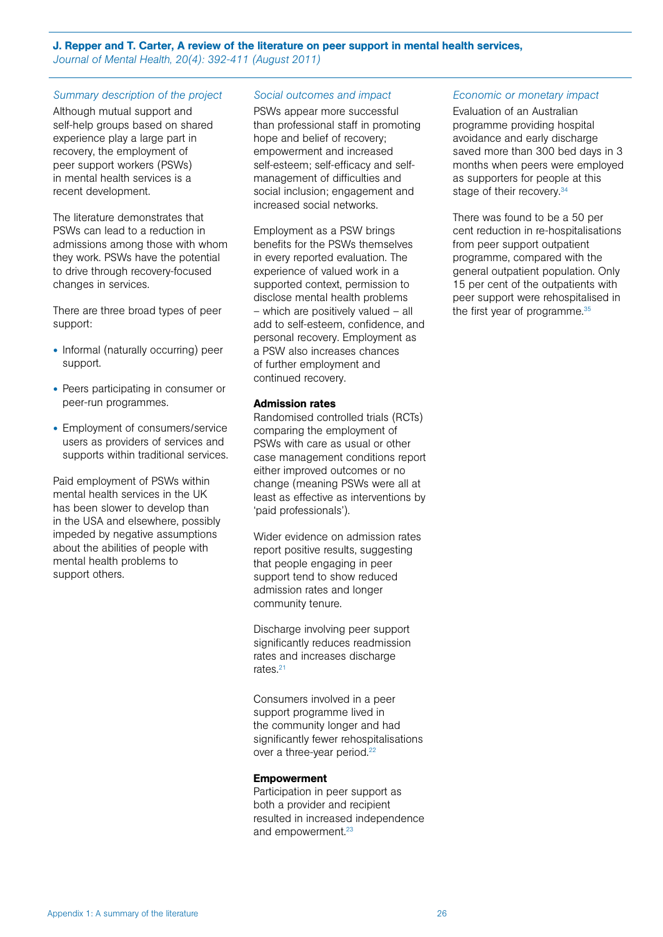#### J. Repper and T. Carter, A review of the literature on peer support in mental health services, *Journal of Mental Health, 20(4): 392-411 (August 2011)*

#### *Summary description of the project*

Although mutual support and self-help groups based on shared experience play a large part in recovery, the employment of peer support workers (PSWs) in mental health services is a recent development.

The literature demonstrates that PSWs can lead to a reduction in admissions among those with whom they work. PSWs have the potential to drive through recovery-focused changes in services.

There are three broad types of peer support:

- Informal (naturally occurring) peer support.
- Peers participating in consumer or peer-run programmes.
- Employment of consumers/service users as providers of services and supports within traditional services.

Paid employment of PSWs within mental health services in the UK has been slower to develop than in the USA and elsewhere, possibly impeded by negative assumptions about the abilities of people with mental health problems to support others.

#### *Social outcomes and impact*

PSWs appear more successful than professional staff in promoting hope and belief of recovery; empowerment and increased self-esteem; self-efficacy and selfmanagement of difficulties and social inclusion; engagement and increased social networks.

Employment as a PSW brings benefits for the PSWs themselves in every reported evaluation. The experience of valued work in a supported context, permission to disclose mental health problems – which are positively valued – all add to self-esteem, confidence, and personal recovery. Employment as a PSW also increases chances of further employment and continued recovery.

#### Admission rates

Randomised controlled trials (RCTs) comparing the employment of PSWs with care as usual or other case management conditions report either improved outcomes or no change (meaning PSWs were all at least as effective as interventions by 'paid professionals').

Wider evidence on admission rates report positive results, suggesting that people engaging in peer support tend to show reduced admission rates and longer community tenure.

Discharge involving peer support significantly reduces readmission rates and increases discharge rates<sup>21</sup>

Consumers involved in a peer support programme lived in the community longer and had significantly fewer rehospitalisations over a three-year period.<sup>22</sup>

#### **Empowerment**

Participation in peer support as both a provider and recipient resulted in increased independence and empowerment.<sup>23</sup>

#### *Economic or monetary impact*

Evaluation of an Australian programme providing hospital avoidance and early discharge saved more than 300 bed days in 3 months when peers were employed as supporters for people at this stage of their recovery.<sup>34</sup>

There was found to be a 50 per cent reduction in re-hospitalisations from peer support outpatient programme, compared with the general outpatient population. Only 15 per cent of the outpatients with peer support were rehospitalised in the first year of programme.<sup>35</sup>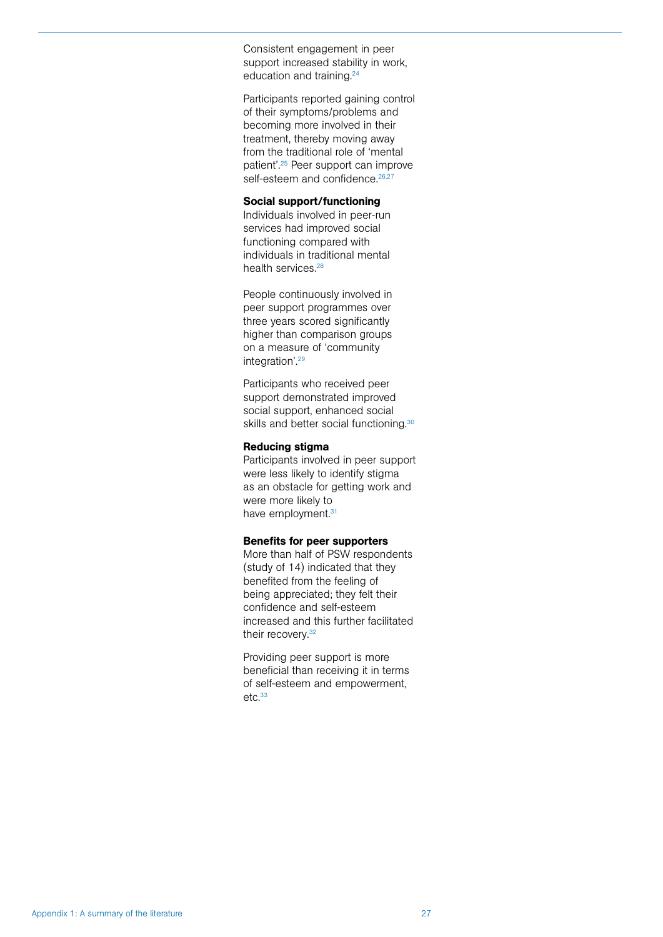Consistent engagement in peer support increased stability in work, education and training.<sup>24</sup>

Participants reported gaining control of their symptoms/problems and becoming more involved in their treatment, thereby moving away from the traditional role of 'mental patient'.25 Peer support can improve self-esteem and confidence.<sup>26,27</sup>

#### Social support/functioning

Individuals involved in peer-run services had improved social functioning compared with individuals in traditional mental health services.<sup>28</sup>

People continuously involved in peer support programmes over three years scored significantly higher than comparison groups on a measure of 'community integration'.29

Participants who received peer support demonstrated improved social support, enhanced social skills and better social functioning.<sup>30</sup>

#### Reducing stigma

Participants involved in peer support were less likely to identify stigma as an obstacle for getting work and were more likely to have employment.<sup>31</sup>

#### Benefits for peer supporters

More than half of PSW respondents (study of 14) indicated that they benefited from the feeling of being appreciated; they felt their confidence and self-esteem increased and this further facilitated their recovery.<sup>32</sup>

Providing peer support is more beneficial than receiving it in terms of self-esteem and empowerment,  $etc.<sup>33</sup>$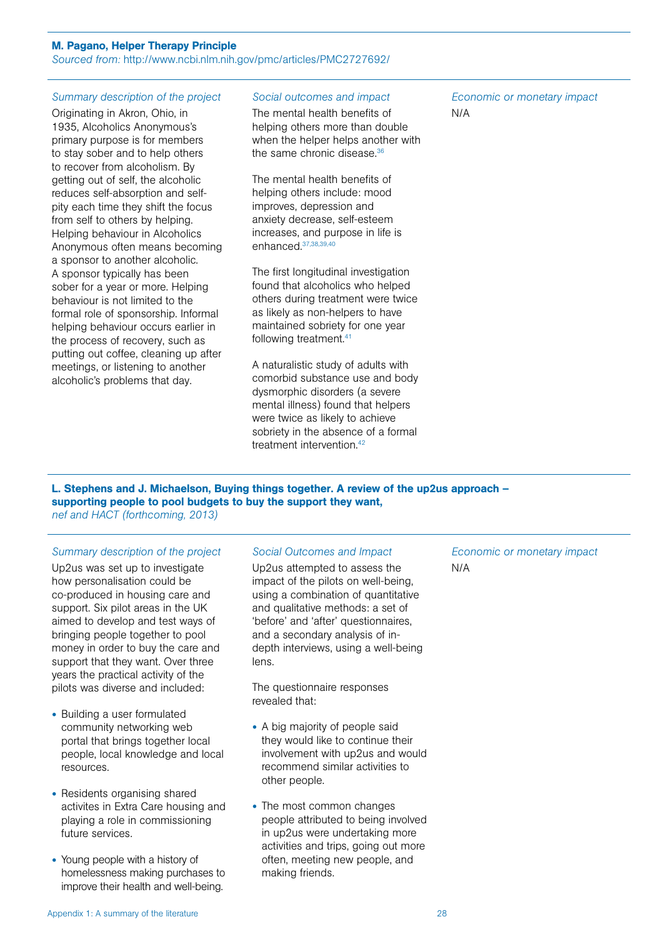#### M. Pagano, Helper Therapy Principle

*Sourced from:* http://www.ncbi.nlm.nih.gov/pmc/articles/PMC2727692/

#### *Summary description of the project*

Originating in Akron, Ohio, in 1935, Alcoholics Anonymous's primary purpose is for members to stay sober and to help others to recover from alcoholism. By getting out of self, the alcoholic reduces self-absorption and selfpity each time they shift the focus from self to others by helping. Helping behaviour in Alcoholics Anonymous often means becoming a sponsor to another alcoholic. A sponsor typically has been sober for a year or more. Helping behaviour is not limited to the formal role of sponsorship. Informal helping behaviour occurs earlier in the process of recovery, such as putting out coffee, cleaning up after meetings, or listening to another alcoholic's problems that day.

#### *Social outcomes and impact*

The mental health benefits of helping others more than double when the helper helps another with the same chronic disease.<sup>36</sup>

The mental health benefits of helping others include: mood improves, depression and anxiety decrease, self-esteem increases, and purpose in life is enhanced.37,38,39,40

The first longitudinal investigation found that alcoholics who helped others during treatment were twice as likely as non-helpers to have maintained sobriety for one year following treatment.41

A naturalistic study of adults with comorbid substance use and body dysmorphic disorders (a severe mental illness) found that helpers were twice as likely to achieve sobriety in the absence of a formal treatment intervention.<sup>42</sup>

*Economic or monetary impact* N/A

#### L. Stephens and J. Michaelson, Buying things together. A review of the up2us approach – supporting people to pool budgets to buy the support they want, *nef and HACT (forthcoming, 2013)*

#### *Summary description of the project*

Up2us was set up to investigate how personalisation could be co-produced in housing care and support. Six pilot areas in the UK aimed to develop and test ways of bringing people together to pool money in order to buy the care and support that they want. Over three years the practical activity of the pilots was diverse and included:

- Building a user formulated community networking web portal that brings together local people, local knowledge and local resources.
- Residents organising shared activites in Extra Care housing and playing a role in commissioning future services.
- Young people with a history of homelessness making purchases to improve their health and well-being.

#### *Social Outcomes and Impact*

Up2us attempted to assess the impact of the pilots on well-being, using a combination of quantitative and qualitative methods: a set of 'before' and 'after' questionnaires, and a secondary analysis of indepth interviews, using a well-being lens.

The questionnaire responses revealed that:

- A big majority of people said they would like to continue their involvement with up2us and would recommend similar activities to other people.
- The most common changes people attributed to being involved in up2us were undertaking more activities and trips, going out more often, meeting new people, and making friends.

*Economic or monetary impact* N/A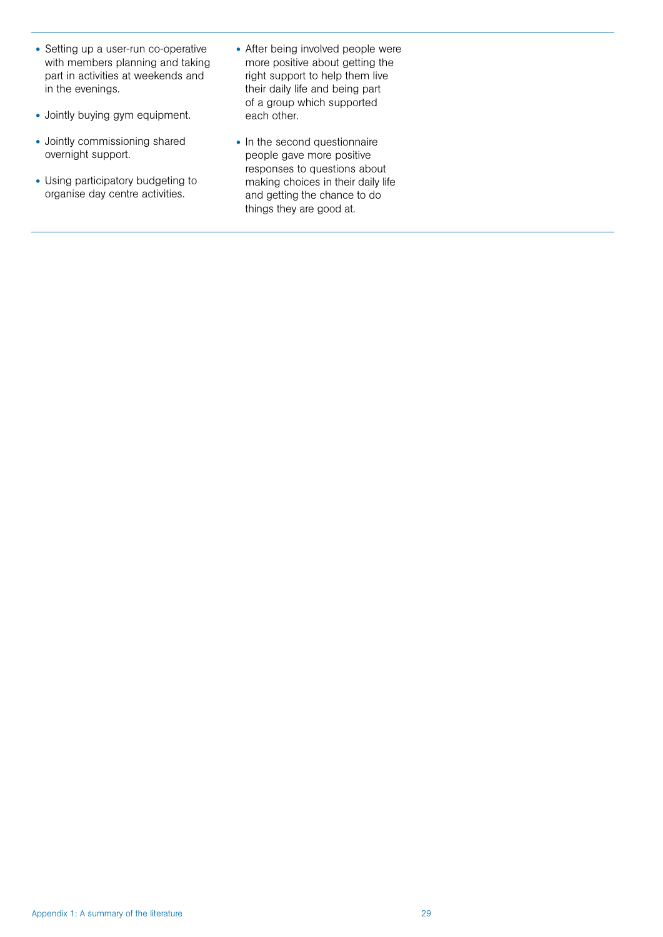- Setting up a user-run co-operative with members planning and taking part in activities at weekends and in the evenings.
- Jointly buying gym equipment.
- Jointly commissioning shared overnight support.
- Using participatory budgeting to organise day centre activities.
- After being involved people were more positive about getting the right support to help them live their daily life and being part of a group which supported each other.
- In the second questionnaire people gave more positive responses to questions about making choices in their daily life and getting the chance to do things they are good at.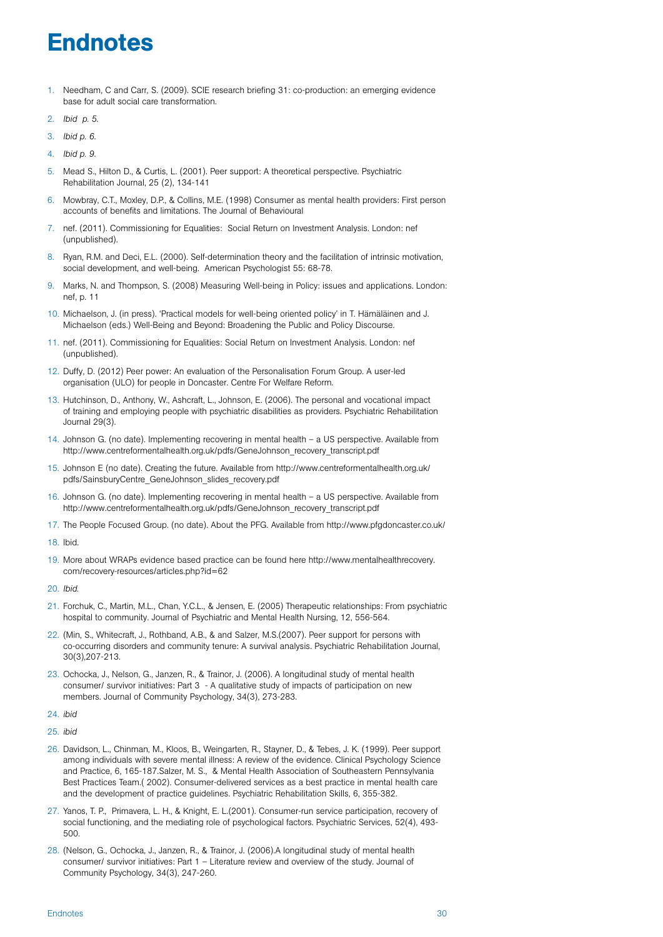# **Endnotes**

- 1. Needham, C and Carr, S. (2009). SCIE research briefing 31: co-production: an emerging evidence base for adult social care transformation.
- 2. *Ibid p. 5*.
- 3. *Ibid p. 6*.
- 4. *Ibid p. 9*.
- 5. Mead S., Hilton D., & Curtis, L. (2001). Peer support: A theoretical perspective. Psychiatric Rehabilitation Journal, 25 (2), 134-141
- 6. Mowbray, C.T., Moxley, D.P., & Collins, M.E. (1998) Consumer as mental health providers: First person accounts of benefits and limitations. The Journal of Behavioural
- 7. nef. (2011). Commissioning for Equalities: Social Return on Investment Analysis. London: nef (unpublished).
- 8. Ryan, R.M. and Deci, E.L. (2000). Self-determination theory and the facilitation of intrinsic motivation, social development, and well-being. American Psychologist 55: 68-78.
- 9. Marks, N. and Thompson, S. (2008) Measuring Well-being in Policy: issues and applications. London: nef, p. 11
- 10. Michaelson, J. (in press). 'Practical models for well-being oriented policy' in T. Hämäläinen and J. Michaelson (eds.) Well-Being and Beyond: Broadening the Public and Policy Discourse.
- 11. nef. (2011). Commissioning for Equalities: Social Return on Investment Analysis. London: nef (unpublished).
- 12. Duffy, D. (2012) Peer power: An evaluation of the Personalisation Forum Group. A user-led organisation (ULO) for people in Doncaster. Centre For Welfare Reform.
- 13. Hutchinson, D., Anthony, W., Ashcraft, L., Johnson, E. (2006). The personal and vocational impact of training and employing people with psychiatric disabilities as providers. Psychiatric Rehabilitation Journal 29(3).
- 14. Johnson G. (no date). Implementing recovering in mental health a US perspective. Available from http://www.centreformentalhealth.org.uk/pdfs/GeneJohnson\_recovery\_transcript.pdf
- 15. Johnson E (no date). Creating the future. Available from http://www.centreformentalhealth.org.uk/ pdfs/SainsburyCentre\_GeneJohnson\_slides\_recovery.pdf
- 16. Johnson G. (no date). Implementing recovering in mental health a US perspective. Available from http://www.centreformentalhealth.org.uk/pdfs/GeneJohnson\_recovery\_transcript.pdf
- 17. The People Focused Group. (no date). About the PFG. Available from http://www.pfgdoncaster.co.uk/
- 18. Ibid.
- 19. More about WRAPs evidence based practice can be found here http://www.mentalhealthrecovery. com/recovery-resources/articles.php?id=62
- 20. *Ibid.*
- 21. Forchuk, C., Martin, M.L., Chan, Y.C.L., & Jensen, E. (2005) Therapeutic relationships: From psychiatric hospital to community. Journal of Psychiatric and Mental Health Nursing, 12, 556-564.
- 22. (Min, S., Whitecraft, J., Rothband, A.B., & and Salzer, M.S.(2007). Peer support for persons with co-occurring disorders and community tenure: A survival analysis. Psychiatric Rehabilitation Journal, 30(3),207-213.
- 23. Ochocka, J., Nelson, G., Janzen, R., & Trainor, J. (2006). A longitudinal study of mental health consumer/ survivor initiatives: Part 3 - A qualitative study of impacts of participation on new members. Journal of Community Psychology, 34(3), 273-283.
- 24. *ibid*
- 25. *ibid*
- 26. Davidson, L., Chinman, M., Kloos, B., Weingarten, R., Stayner, D., & Tebes, J. K. (1999). Peer support among individuals with severe mental illness: A review of the evidence. Clinical Psychology Science and Practice, 6, 165-187.Salzer, M. S., & Mental Health Association of Southeastern Pennsylvania Best Practices Team.( 2002). Consumer-delivered services as a best practice in mental health care and the development of practice guidelines. Psychiatric Rehabilitation Skills, 6, 355-382.
- 27. Yanos, T. P., Primavera, L. H., & Knight, E. L.(2001). Consumer-run service participation, recovery of social functioning, and the mediating role of psychological factors. Psychiatric Services, 52(4), 493- 500.
- 28. (Nelson, G., Ochocka, J., Janzen, R., & Trainor, J. (2006).A longitudinal study of mental health consumer/ survivor initiatives: Part 1 – Literature review and overview of the study. Journal of Community Psychology, 34(3), 247-260.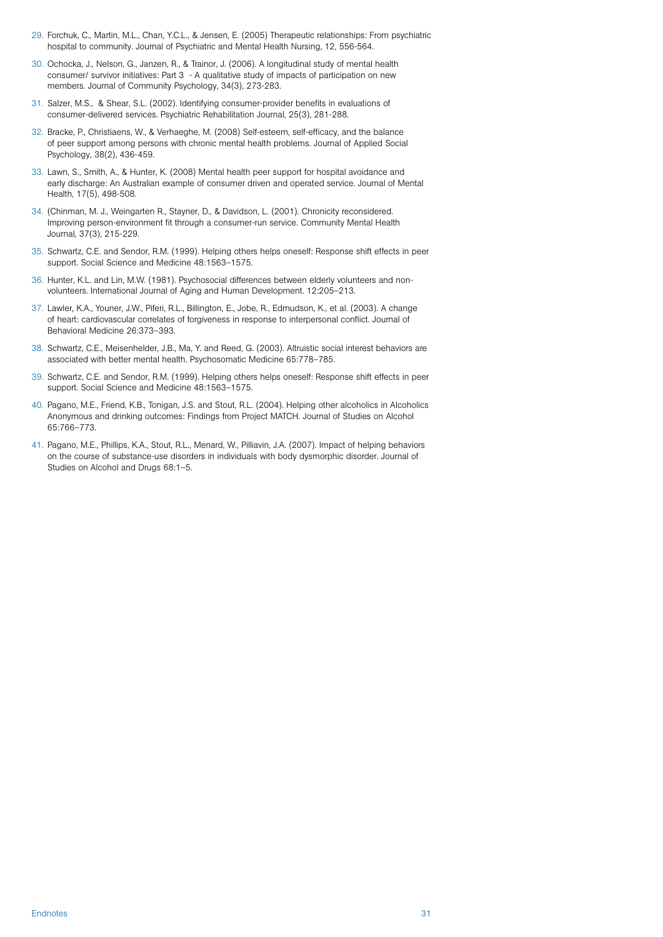- 29. Forchuk, C., Martin, M.L., Chan, Y.C.L., & Jensen, E. (2005) Therapeutic relationships: From psychiatric hospital to community. Journal of Psychiatric and Mental Health Nursing, 12, 556-564.
- 30. Ochocka, J., Nelson, G., Janzen, R., & Trainor, J. (2006). A longitudinal study of mental health consumer/ survivor initiatives: Part 3 - A qualitative study of impacts of participation on new members. Journal of Community Psychology, 34(3), 273-283.
- 31. Salzer, M.S., & Shear, S.L. (2002). Identifying consumer-provider benefits in evaluations of consumer-delivered services. Psychiatric Rehabilitation Journal, 25(3), 281-288.
- 32. Bracke, P., Christiaens, W., & Verhaeghe, M. (2008) Self-esteem, self-efficacy, and the balance of peer support among persons with chronic mental health problems. Journal of Applied Social Psychology, 38(2), 436-459.
- 33. Lawn, S., Smith, A., & Hunter, K. (2008) Mental health peer support for hospital avoidance and early discharge: An Australian example of consumer driven and operated service. Journal of Mental Health, 17(5), 498-508.
- 34. (Chinman, M. J., Weingarten R., Stayner, D., & Davidson, L. (2001). Chronicity reconsidered. Improving person-environment fit through a consumer-run service. Community Mental Health Journal, 37(3), 215-229.
- 35. Schwartz, C.E. and Sendor, R.M. (1999). Helping others helps oneself: Response shift effects in peer support. Social Science and Medicine 48:1563–1575.
- 36. Hunter, K.L. and Lin, M.W. (1981). Psychosocial differences between elderly volunteers and nonvolunteers. International Journal of Aging and Human Development. 12:205–213.
- 37. Lawler, K.A., Youner, J.W., Piferi, R.L., Billington, E., Jobe, R., Edmudson, K., et al. (2003). A change of heart: cardiovascular correlates of forgiveness in response to interpersonal conflict. Journal of Behavioral Medicine 26:373–393.
- 38. Schwartz, C.E., Meisenhelder, J.B., Ma, Y. and Reed, G. (2003). Altruistic social interest behaviors are associated with better mental health. Psychosomatic Medicine 65:778–785.
- 39. Schwartz, C.E. and Sendor, R.M. (1999). Helping others helps oneself: Response shift effects in peer support. Social Science and Medicine 48:1563–1575.
- 40. Pagano, M.E., Friend, K.B., Tonigan, J.S. and Stout, R.L. (2004). Helping other alcoholics in Alcoholics Anonymous and drinking outcomes: Findings from Project MATCH. Journal of Studies on Alcohol 65:766–773.
- 41. Pagano, M.E., Phillips, K.A., Stout, R.L., Menard, W., Pilliavin, J.A. (2007). Impact of helping behaviors on the course of substance-use disorders in individuals with body dysmorphic disorder. Journal of Studies on Alcohol and Drugs 68:1–5.